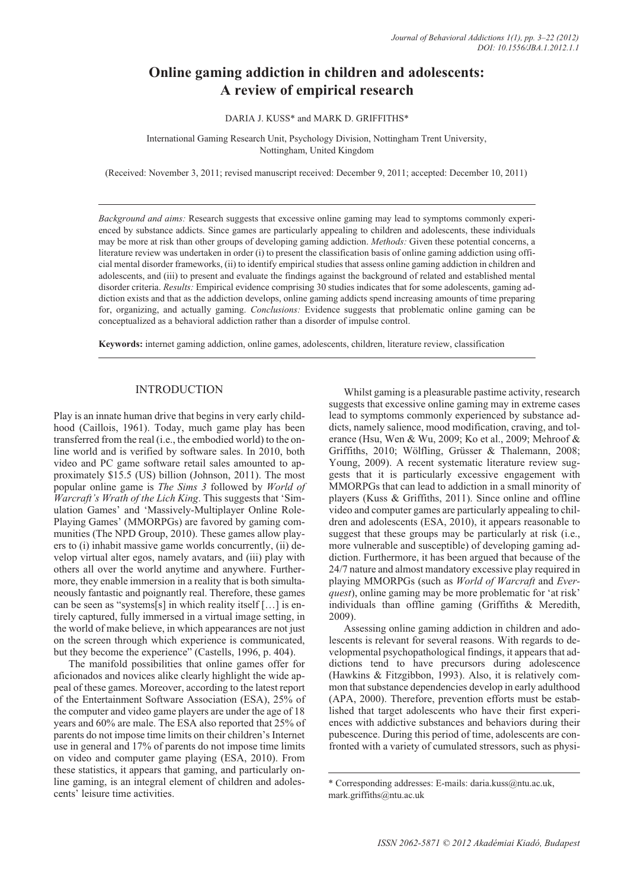# **Online gaming addiction in children and adolescents: A review of empirical research**

### DARIA J. KUSS\* and MARK D. GRIFFITHS\*

International Gaming Research Unit, Psychology Division, Nottingham Trent University, Nottingham, United Kingdom

(Received: November 3, 2011; revised manuscript received: December 9, 2011; accepted: December 10, 2011)

*Background and aims:* Research suggests that excessive online gaming may lead to symptoms commonly experienced by substance addicts. Since games are particularly appealing to children and adolescents, these individuals may be more at risk than other groups of developing gaming addiction. *Methods:* Given these potential concerns, a literature review was undertaken in order (i) to present the classification basis of online gaming addiction using official mental disorder frameworks, (ii) to identify empirical studies that assess online gaming addiction in children and adolescents, and (iii) to present and evaluate the findings against the background of related and established mental disorder criteria. *Results:* Empirical evidence comprising 30 studies indicates that for some adolescents, gaming addiction exists and that as the addiction develops, online gaming addicts spend increasing amounts of time preparing for, organizing, and actually gaming. *Conclusions:* Evidence suggests that problematic online gaming can be conceptualized as a behavioral addiction rather than a disorder of impulse control.

**Keywords:** internet gaming addiction, online games, adolescents, children, literature review, classification

# **INTRODUCTION**

Play is an innate human drive that begins in very early childhood (Caillois, 1961). Today, much game play has been transferred from the real (i.e., the embodied world) to the online world and is verified by software sales. In 2010, both video and PC game software retail sales amounted to approximately \$15.5 (US) billion (Johnson, 2011). The most popular online game is *The Sims 3* followed by *World of Warcraft's Wrath of the Lich King*. This suggests that 'Simulation Games' and 'Massively-Multiplayer Online Role-Playing Games' (MMORPGs) are favored by gaming communities (The NPD Group, 2010). These games allow players to (i) inhabit massive game worlds concurrently, (ii) develop virtual alter egos, namely avatars, and (iii) play with others all over the world anytime and anywhere. Furthermore, they enable immersion in a reality that is both simultaneously fantastic and poignantly real. Therefore, these games can be seen as "systems[s] in which reality itself […] is entirely captured, fully immersed in a virtual image setting, in the world of make believe, in which appearances are not just on the screen through which experience is communicated, but they become the experience" (Castells, 1996, p. 404).

The manifold possibilities that online games offer for aficionados and novices alike clearly highlight the wide appeal of these games. Moreover, according to the latest report of the Entertainment Software Association (ESA), 25% of the computer and video game players are under the age of 18 years and 60% are male. The ESA also reported that 25% of parents do not impose time limits on their children's Internet use in general and 17% of parents do not impose time limits on video and computer game playing (ESA, 2010). From these statistics, it appears that gaming, and particularly online gaming, is an integral element of children and adolescents' leisure time activities.

Whilst gaming is a pleasurable pastime activity, research suggests that excessive online gaming may in extreme cases lead to symptoms commonly experienced by substance addicts, namely salience, mood modification, craving, and tolerance (Hsu, Wen & Wu, 2009; Ko et al., 2009; Mehroof & Griffiths, 2010; Wölfling, Grüsser & Thalemann, 2008; Young, 2009). A recent systematic literature review suggests that it is particularly excessive engagement with MMORPGs that can lead to addiction in a small minority of players (Kuss & Griffiths, 2011). Since online and offline video and computer games are particularly appealing to children and adolescents (ESA, 2010), it appears reasonable to suggest that these groups may be particularly at risk (i.e., more vulnerable and susceptible) of developing gaming addiction. Furthermore, it has been argued that because of the 24/7 nature and almost mandatory excessive play required in playing MMORPGs (such as *World of Warcraft* and *Everquest*), online gaming may be more problematic for 'at risk' individuals than offline gaming (Griffiths & Meredith, 2009).

Assessing online gaming addiction in children and adolescents is relevant for several reasons. With regards to developmental psychopathological findings, it appears that addictions tend to have precursors during adolescence (Hawkins & Fitzgibbon, 1993). Also, it is relatively common that substance dependencies develop in early adulthood (APA, 2000). Therefore, prevention efforts must be established that target adolescents who have their first experiences with addictive substances and behaviors during their pubescence. During this period of time, adolescents are confronted with a variety of cumulated stressors, such as physi-

<sup>\*</sup> Corresponding addresses: E-mails: daria.kuss@ntu.ac.uk, mark.griffiths@ntu.ac.uk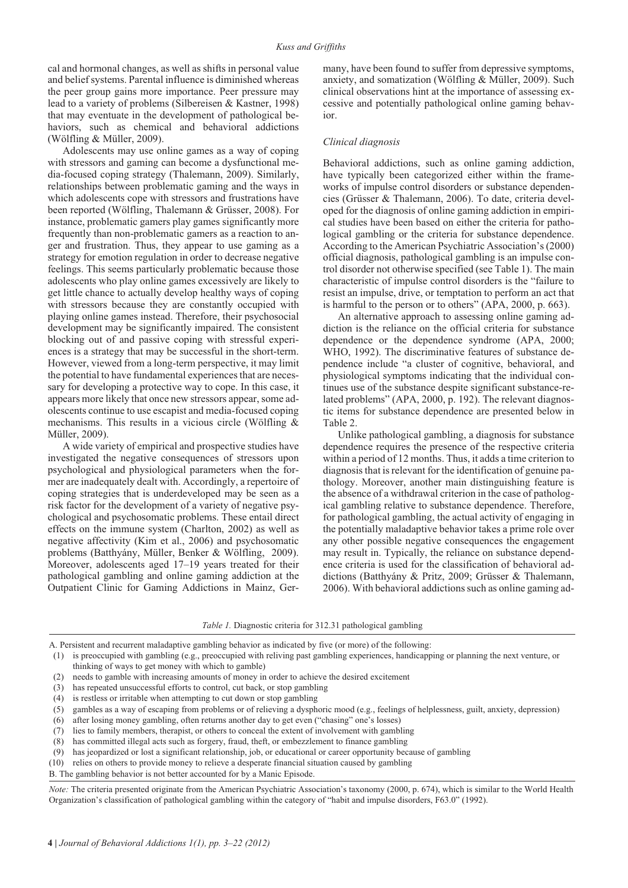cal and hormonal changes, as well as shifts in personal value and belief systems. Parental influence is diminished whereas the peer group gains more importance. Peer pressure may lead to a variety of problems (Silbereisen & Kastner, 1998) that may eventuate in the development of pathological behaviors, such as chemical and behavioral addictions (Wölfling & Müller, 2009).

Adolescents may use online games as a way of coping with stressors and gaming can become a dysfunctional media-focused coping strategy (Thalemann, 2009). Similarly, relationships between problematic gaming and the ways in which adolescents cope with stressors and frustrations have been reported (Wölfling, Thalemann & Grüsser, 2008). For instance, problematic gamers play games significantly more frequently than non-problematic gamers as a reaction to anger and frustration. Thus, they appear to use gaming as a strategy for emotion regulation in order to decrease negative feelings. This seems particularly problematic because those adolescents who play online games excessively are likely to get little chance to actually develop healthy ways of coping with stressors because they are constantly occupied with playing online games instead. Therefore, their psychosocial development may be significantly impaired. The consistent blocking out of and passive coping with stressful experiences is a strategy that may be successful in the short-term. However, viewed from a long-term perspective, it may limit the potential to have fundamental experiences that are necessary for developing a protective way to cope. In this case, it appears more likely that once new stressors appear, some adolescents continue to use escapist and media-focused coping mechanisms. This results in a vicious circle (Wölfling & Müller, 2009).

A wide variety of empirical and prospective studies have investigated the negative consequences of stressors upon psychological and physiological parameters when the former are inadequately dealt with. Accordingly, a repertoire of coping strategies that is underdeveloped may be seen as a risk factor for the development of a variety of negative psychological and psychosomatic problems. These entail direct effects on the immune system (Charlton, 2002) as well as negative affectivity (Kim et al., 2006) and psychosomatic problems (Batthyány, Müller, Benker & Wölfling, 2009). Moreover, adolescents aged 17–19 years treated for their pathological gambling and online gaming addiction at the Outpatient Clinic for Gaming Addictions in Mainz, Germany, have been found to suffer from depressive symptoms, anxiety, and somatization (Wölfling & Müller, 2009). Such clinical observations hint at the importance of assessing excessive and potentially pathological online gaming behavior.

### *Clinical diagnosis*

Behavioral addictions, such as online gaming addiction, have typically been categorized either within the frameworks of impulse control disorders or substance dependencies (Grüsser & Thalemann, 2006). To date, criteria developed for the diagnosis of online gaming addiction in empirical studies have been based on either the criteria for pathological gambling or the criteria for substance dependence. According to the American Psychiatric Association's (2000) official diagnosis, pathological gambling is an impulse control disorder not otherwise specified (see Table 1). The main characteristic of impulse control disorders is the "failure to resist an impulse, drive, or temptation to perform an act that is harmful to the person or to others" (APA, 2000, p. 663).

An alternative approach to assessing online gaming addiction is the reliance on the official criteria for substance dependence or the dependence syndrome (APA, 2000; WHO, 1992). The discriminative features of substance dependence include "a cluster of cognitive, behavioral, and physiological symptoms indicating that the individual continues use of the substance despite significant substance-related problems" (APA, 2000, p. 192). The relevant diagnostic items for substance dependence are presented below in Table 2.

Unlike pathological gambling, a diagnosis for substance dependence requires the presence of the respective criteria within a period of 12 months. Thus, it adds a time criterion to diagnosis that is relevant for the identification of genuine pathology. Moreover, another main distinguishing feature is the absence of a withdrawal criterion in the case of pathological gambling relative to substance dependence. Therefore, for pathological gambling, the actual activity of engaging in the potentially maladaptive behavior takes a prime role over any other possible negative consequences the engagement may result in. Typically, the reliance on substance dependence criteria is used for the classification of behavioral addictions (Batthyány & Pritz, 2009; Grüsser & Thalemann, 2006). With behavioral addictions such as online gaming ad-

- (2) needs to gamble with increasing amounts of money in order to achieve the desired excitement
- (3) has repeated unsuccessful efforts to control, cut back, or stop gambling
- (4) is restless or irritable when attempting to cut down or stop gambling
- (5) gambles as a way of escaping from problems or of relieving a dysphoric mood (e.g., feelings of helplessness, guilt, anxiety, depression)
- (6) after losing money gambling, often returns another day to get even ("chasing" one's losses)
- (7) lies to family members, therapist, or others to conceal the extent of involvement with gambling
- (8) has committed illegal acts such as forgery, fraud, theft, or embezzlement to finance gambling
- (9) has jeopardized or lost a significant relationship, job, or educational or career opportunity because of gambling
- (10) relies on others to provide money to relieve a desperate financial situation caused by gambling
- B. The gambling behavior is not better accounted for by a Manic Episode.

*Note:* The criteria presented originate from the American Psychiatric Association's taxonomy (2000, p. 674), which is similar to the World Health Organization's classification of pathological gambling within the category of "habit and impulse disorders, F63.0" (1992).

*Table 1.* Diagnostic criteria for 312.31 pathological gambling

A. Persistent and recurrent maladaptive gambling behavior as indicated by five (or more) of the following:

<sup>(1)</sup> is preoccupied with gambling (e.g., preoccupied with reliving past gambling experiences, handicapping or planning the next venture, or thinking of ways to get money with which to gamble)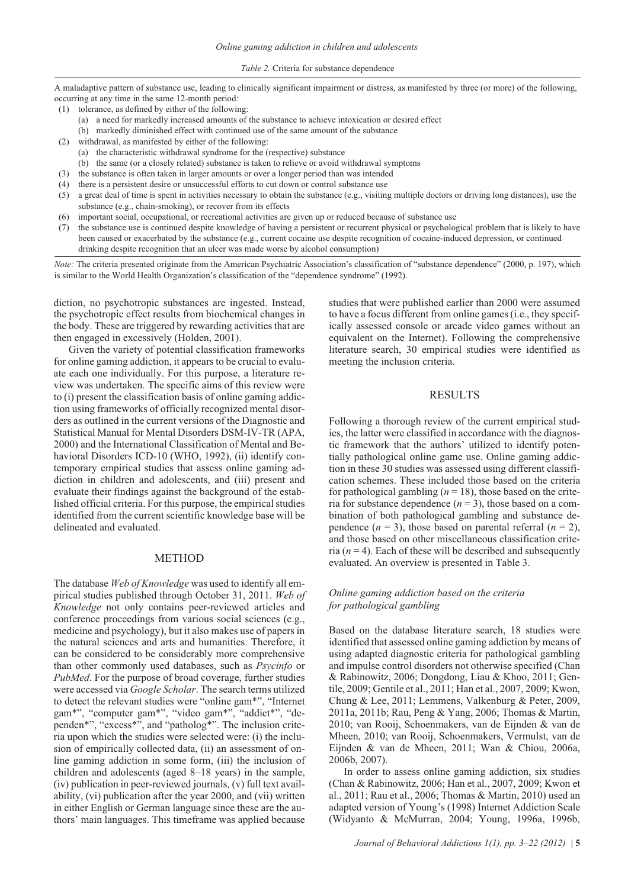#### *Table 2.* Criteria for substance dependence

A maladaptive pattern of substance use, leading to clinically significant impairment or distress, as manifested by three (or more) of the following, occurring at any time in the same 12-month period:

- (1) tolerance, as defined by either of the following:
	- (a) a need for markedly increased amounts of the substance to achieve intoxication or desired effect
	- (b) markedly diminished effect with continued use of the same amount of the substance
- (2) withdrawal, as manifested by either of the following:
	- (a) the characteristic withdrawal syndrome for the (respective) substance
	- (b) the same (or a closely related) substance is taken to relieve or avoid withdrawal symptoms
- (3) the substance is often taken in larger amounts or over a longer period than was intended
- (4) there is a persistent desire or unsuccessful efforts to cut down or control substance use
- (5) a great deal of time is spent in activities necessary to obtain the substance (e.g., visiting multiple doctors or driving long distances), use the substance (e.g., chain-smoking), or recover from its effects
- (6) important social, occupational, or recreational activities are given up or reduced because of substance use
- (7) the substance use is continued despite knowledge of having a persistent or recurrent physical or psychological problem that is likely to have been caused or exacerbated by the substance (e.g., current cocaine use despite recognition of cocaine-induced depression, or continued drinking despite recognition that an ulcer was made worse by alcohol consumption)

*Note:* The criteria presented originate from the American Psychiatric Association's classification of "substance dependence" (2000, p. 197), which is similar to the World Health Organization's classification of the "dependence syndrome" (1992).

diction, no psychotropic substances are ingested. Instead, the psychotropic effect results from biochemical changes in the body. These are triggered by rewarding activities that are then engaged in excessively (Holden, 2001).

Given the variety of potential classification frameworks for online gaming addiction, it appears to be crucial to evaluate each one individually. For this purpose, a literature review was undertaken. The specific aims of this review were to (i) present the classification basis of online gaming addiction using frameworks of officially recognized mental disorders as outlined in the current versions of the Diagnostic and Statistical Manual for Mental Disorders DSM-IV-TR (APA, 2000) and the International Classification of Mental and Behavioral Disorders ICD-10 (WHO, 1992), (ii) identify contemporary empirical studies that assess online gaming addiction in children and adolescents, and (iii) present and evaluate their findings against the background of the established official criteria. For this purpose, the empirical studies identified from the current scientific knowledge base will be delineated and evaluated.

### METHOD

The database *Web of Knowledge* was used to identify all empirical studies published through October 31, 2011. *Web of Knowledge* not only contains peer-reviewed articles and conference proceedings from various social sciences (e.g., medicine and psychology), but it also makes use of papers in the natural sciences and arts and humanities. Therefore, it can be considered to be considerably more comprehensive than other commonly used databases, such as *Psycinfo* or *PubMed*. For the purpose of broad coverage, further studies were accessed via *Google Scholar*. The search terms utilized to detect the relevant studies were "online gam\*", "Internet gam\*", "computer gam\*", "video gam\*", "addict\*", "dependen\*", "excess\*", and "patholog\*". The inclusion criteria upon which the studies were selected were: (i) the inclusion of empirically collected data, (ii) an assessment of online gaming addiction in some form, (iii) the inclusion of children and adolescents (aged 8–18 years) in the sample, (iv) publication in peer-reviewed journals, (v) full text availability, (vi) publication after the year 2000, and (vii) written in either English or German language since these are the authors' main languages. This timeframe was applied because

studies that were published earlier than 2000 were assumed to have a focus different from online games (i.e., they specifically assessed console or arcade video games without an equivalent on the Internet). Following the comprehensive literature search, 30 empirical studies were identified as meeting the inclusion criteria.

### RESULTS

Following a thorough review of the current empirical studies, the latter were classified in accordance with the diagnostic framework that the authors' utilized to identify potentially pathological online game use. Online gaming addiction in these 30 studies was assessed using different classification schemes. These included those based on the criteria for pathological gambling  $(n = 18)$ , those based on the criteria for substance dependence  $(n = 3)$ , those based on a combination of both pathological gambling and substance dependence  $(n = 3)$ , those based on parental referral  $(n = 2)$ , and those based on other miscellaneous classification criteria  $(n = 4)$ . Each of these will be described and subsequently evaluated. An overview is presented in Table 3.

# *Online gaming addiction based on the criteria for pathological gambling*

Based on the database literature search, 18 studies were identified that assessed online gaming addiction by means of using adapted diagnostic criteria for pathological gambling and impulse control disorders not otherwise specified (Chan & Rabinowitz, 2006; Dongdong, Liau & Khoo, 2011; Gentile, 2009; Gentile et al., 2011; Han et al., 2007, 2009; Kwon, Chung & Lee, 2011; Lemmens, Valkenburg & Peter, 2009, 2011a, 2011b; Rau, Peng & Yang, 2006; Thomas & Martin, 2010; van Rooij, Schoenmakers, van de Eijnden & van de Mheen, 2010; van Rooij, Schoenmakers, Vermulst, van de Eijnden & van de Mheen, 2011; Wan & Chiou, 2006a, 2006b, 2007).

In order to assess online gaming addiction, six studies (Chan & Rabinowitz, 2006; Han et al., 2007, 2009; Kwon et al., 2011; Rau et al., 2006; Thomas & Martin, 2010) used an adapted version of Young's (1998) Internet Addiction Scale (Widyanto & McMurran, 2004; Young, 1996a, 1996b,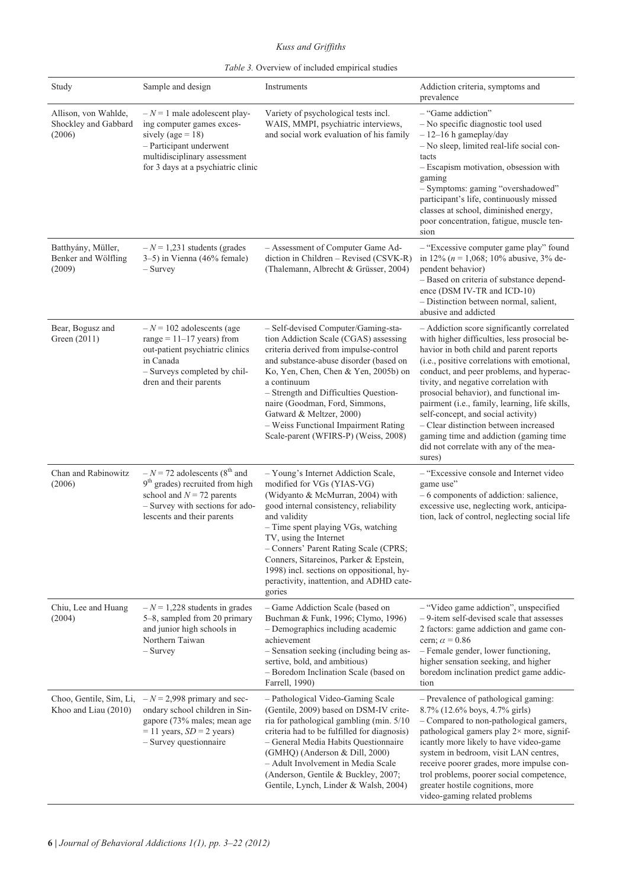*Kuss and Griffiths*

| Table 3. Overview of included empirical studies |  |
|-------------------------------------------------|--|
|-------------------------------------------------|--|

| Study                                                  | Sample and design                                                                                                                                                                         | Instruments                                                                                                                                                                                                                                                                                                                                                                                                           | Addiction criteria, symptoms and<br>prevalence                                                                                                                                                                                                                                                                                                                                                                                                                                                                                                       |
|--------------------------------------------------------|-------------------------------------------------------------------------------------------------------------------------------------------------------------------------------------------|-----------------------------------------------------------------------------------------------------------------------------------------------------------------------------------------------------------------------------------------------------------------------------------------------------------------------------------------------------------------------------------------------------------------------|------------------------------------------------------------------------------------------------------------------------------------------------------------------------------------------------------------------------------------------------------------------------------------------------------------------------------------------------------------------------------------------------------------------------------------------------------------------------------------------------------------------------------------------------------|
| Allison, von Wahlde,<br>Shockley and Gabbard<br>(2006) | $-N=1$ male adolescent play-<br>ing computer games exces-<br>sively (age = $18$ )<br>- Participant underwent<br>multidisciplinary assessment<br>for 3 days at a psychiatric clinic        | Variety of psychological tests incl.<br>WAIS, MMPI, psychiatric interviews,<br>and social work evaluation of his family                                                                                                                                                                                                                                                                                               | - "Game addiction"<br>- No specific diagnostic tool used<br>$-12-16$ h gameplay/day<br>- No sleep, limited real-life social con-<br>tacts<br>- Escapism motivation, obsession with<br>gaming<br>- Symptoms: gaming "overshadowed"<br>participant's life, continuously missed<br>classes at school, diminished energy,<br>poor concentration, fatigue, muscle ten-<br>sion                                                                                                                                                                            |
| Batthyány, Müller,<br>Benker and Wölfling<br>(2009)    | $-N = 1,231$ students (grades<br>$3-5$ ) in Vienna (46% female)<br>– Survey                                                                                                               | - Assessment of Computer Game Ad-<br>diction in Children - Revised (CSVK-R)<br>(Thalemann, Albrecht & Grüsser, 2004)                                                                                                                                                                                                                                                                                                  | - "Excessive computer game play" found<br>in 12% ( $n = 1,068$ ; 10% abusive, 3% de-<br>pendent behavior)<br>- Based on criteria of substance depend-<br>ence (DSM IV-TR and ICD-10)<br>- Distinction between normal, salient,<br>abusive and addicted                                                                                                                                                                                                                                                                                               |
| Bear, Bogusz and<br>Green (2011)                       | $-N = 102$ adolescents (age<br>range = $11-17$ years) from<br>out-patient psychiatric clinics<br>in Canada<br>- Surveys completed by chil-<br>dren and their parents                      | - Self-devised Computer/Gaming-sta-<br>tion Addiction Scale (CGAS) assessing<br>criteria derived from impulse-control<br>and substance-abuse disorder (based on<br>Ko, Yen, Chen, Chen & Yen, 2005b) on<br>a continuum<br>- Strength and Difficulties Question-<br>naire (Goodman, Ford, Simmons,<br>Gatward & Meltzer, 2000)<br>- Weiss Functional Impairment Rating<br>Scale-parent (WFIRS-P) (Weiss, 2008)         | - Addiction score significantly correlated<br>with higher difficulties, less prosocial be-<br>havior in both child and parent reports<br>(i.e., positive correlations with emotional,<br>conduct, and peer problems, and hyperac-<br>tivity, and negative correlation with<br>prosocial behavior), and functional im-<br>pairment (i.e., family, learning, life skills,<br>self-concept, and social activity)<br>- Clear distinction between increased<br>gaming time and addiction (gaming time<br>did not correlate with any of the mea-<br>sures) |
| Chan and Rabinowitz<br>(2006)                          | $-N = 72$ adolescents (8 <sup>th</sup> and<br>9 <sup>th</sup> grades) recruited from high<br>school and $N = 72$ parents<br>- Survey with sections for ado-<br>lescents and their parents | - Young's Internet Addiction Scale,<br>modified for VGs (YIAS-VG)<br>(Widyanto & McMurran, 2004) with<br>good internal consistency, reliability<br>and validity<br>- Time spent playing VGs, watching<br>TV, using the Internet<br>- Conners' Parent Rating Scale (CPRS;<br>Conners, Sitareinos, Parker & Epstein,<br>1998) incl. sections on oppositional, hy-<br>peractivity, inattention, and ADHD cate-<br>gories | - "Excessive console and Internet video<br>game use"<br>- 6 components of addiction: salience,<br>excessive use, neglecting work, anticipa-<br>tion, lack of control, neglecting social life                                                                                                                                                                                                                                                                                                                                                         |
| Chiu, Lee and Huang<br>(2004)                          | $-N = 1,228$ students in grades<br>5–8, sampled from 20 primary<br>and junior high schools in<br>Northern Taiwan<br>$-$ Survey                                                            | - Game Addiction Scale (based on<br>Buchman & Funk, 1996; Clymo, 1996)<br>- Demographics including academic<br>achievement<br>- Sensation seeking (including being as-<br>sertive, bold, and ambitious)<br>- Boredom Inclination Scale (based on<br>Farrell, 1990)                                                                                                                                                    | - "Video game addiction", unspecified<br>- 9-item self-devised scale that assesses<br>2 factors: game addiction and game con-<br>cern; $\alpha$ = 0.86<br>- Female gender, lower functioning,<br>higher sensation seeking, and higher<br>boredom inclination predict game addic-<br>tion                                                                                                                                                                                                                                                             |
| Choo, Gentile, Sim, Li,<br>Khoo and Liau (2010)        | $-N = 2,998$ primary and sec-<br>ondary school children in Sin-<br>gapore (73% males; mean age<br>$= 11$ years, $SD = 2$ years)<br>$-$ Survey questionnaire                               | - Pathological Video-Gaming Scale<br>(Gentile, 2009) based on DSM-IV crite-<br>ria for pathological gambling (min. 5/10)<br>criteria had to be fulfilled for diagnosis)<br>- General Media Habits Questionnaire<br>(GMHQ) (Anderson & Dill, 2000)<br>- Adult Involvement in Media Scale<br>(Anderson, Gentile & Buckley, 2007;<br>Gentile, Lynch, Linder & Walsh, 2004)                                               | - Prevalence of pathological gaming:<br>8.7% (12.6% boys, 4.7% girls)<br>- Compared to non-pathological gamers,<br>pathological gamers play $2 \times$ more, signif-<br>icantly more likely to have video-game<br>system in bedroom, visit LAN centres,<br>receive poorer grades, more impulse con-<br>trol problems, poorer social competence,<br>greater hostile cognitions, more<br>video-gaming related problems                                                                                                                                 |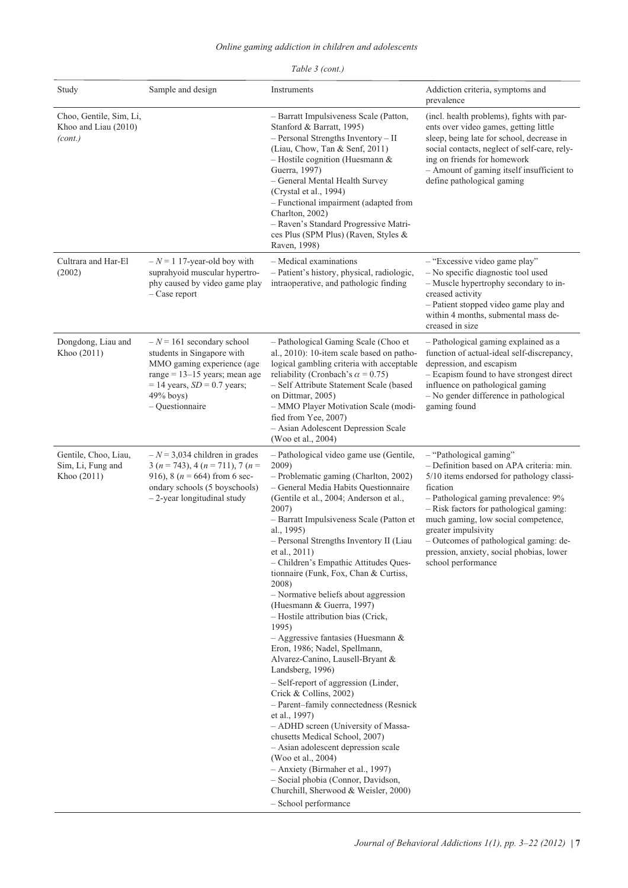| Study                                                      | Sample and design                                                                                                                                                                                  | Instruments                                                                                                                                                                                                                                                                                                                                                                                                                                                                                                                                                                                                                                                                                                                                                                                                                                                                                                                                                                                                                                                               | Addiction criteria, symptoms and<br>prevalence                                                                                                                                                                                                                                                                                                                                            |
|------------------------------------------------------------|----------------------------------------------------------------------------------------------------------------------------------------------------------------------------------------------------|---------------------------------------------------------------------------------------------------------------------------------------------------------------------------------------------------------------------------------------------------------------------------------------------------------------------------------------------------------------------------------------------------------------------------------------------------------------------------------------------------------------------------------------------------------------------------------------------------------------------------------------------------------------------------------------------------------------------------------------------------------------------------------------------------------------------------------------------------------------------------------------------------------------------------------------------------------------------------------------------------------------------------------------------------------------------------|-------------------------------------------------------------------------------------------------------------------------------------------------------------------------------------------------------------------------------------------------------------------------------------------------------------------------------------------------------------------------------------------|
| Choo, Gentile, Sim, Li,<br>Khoo and Liau (2010)<br>(cont.) |                                                                                                                                                                                                    | - Barratt Impulsiveness Scale (Patton,<br>Stanford & Barratt, 1995)<br>- Personal Strengths Inventory - II<br>(Liau, Chow, Tan & Senf, 2011)<br>$-$ Hostile cognition (Huesmann &<br>Guerra, 1997)<br>- General Mental Health Survey<br>(Crystal et al., 1994)<br>- Functional impairment (adapted from<br>Charlton, 2002)<br>- Raven's Standard Progressive Matri-<br>ces Plus (SPM Plus) (Raven, Styles &<br>Raven, 1998)                                                                                                                                                                                                                                                                                                                                                                                                                                                                                                                                                                                                                                               | (incl. health problems), fights with par-<br>ents over video games, getting little<br>sleep, being late for school, decrease in<br>social contacts, neglect of self-care, rely-<br>ing on friends for homework<br>- Amount of gaming itself insufficient to<br>define pathological gaming                                                                                                 |
| Cultrara and Har-El<br>(2002)                              | $-N = 1$ 17-year-old boy with<br>suprahyoid muscular hypertro-<br>phy caused by video game play<br>$-$ Case report                                                                                 | - Medical examinations<br>- Patient's history, physical, radiologic,<br>intraoperative, and pathologic finding                                                                                                                                                                                                                                                                                                                                                                                                                                                                                                                                                                                                                                                                                                                                                                                                                                                                                                                                                            | - "Excessive video game play"<br>- No specific diagnostic tool used<br>- Muscle hypertrophy secondary to in-<br>creased activity<br>- Patient stopped video game play and<br>within 4 months, submental mass de-<br>creased in size                                                                                                                                                       |
| Dongdong, Liau and<br>Khoo (2011)                          | $-N = 161$ secondary school<br>students in Singapore with<br>MMO gaming experience (age<br>range = $13-15$ years; mean age<br>$= 14$ years, $SD = 0.7$ years;<br>49% boys)<br>$-$ Questionnaire    | - Pathological Gaming Scale (Choo et<br>al., 2010): 10-item scale based on patho-<br>logical gambling criteria with acceptable<br>reliability (Cronbach's $\alpha$ = 0.75)<br>- Self Attribute Statement Scale (based<br>on Dittmar, 2005)<br>- MMO Player Motivation Scale (modi-<br>fied from Yee, 2007)<br>- Asian Adolescent Depression Scale<br>(Woo et al., 2004)                                                                                                                                                                                                                                                                                                                                                                                                                                                                                                                                                                                                                                                                                                   | - Pathological gaming explained as a<br>function of actual-ideal self-discrepancy,<br>depression, and escapism<br>- Ecapism found to have strongest direct<br>influence on pathological gaming<br>- No gender difference in pathological<br>gaming found                                                                                                                                  |
| Gentile, Choo, Liau,<br>Sim, Li, Fung and<br>Khoo (2011)   | $-N = 3,034$ children in grades<br>3 ( <i>n</i> = 743), 4 ( <i>n</i> = 711), 7 ( <i>n</i> =<br>916), 8 ( $n = 664$ ) from 6 sec-<br>ondary schools (5 boyschools)<br>$-2$ -year longitudinal study | - Pathological video game use (Gentile,<br>2009)<br>- Problematic gaming (Charlton, 2002)<br>- General Media Habits Questionnaire<br>(Gentile et al., 2004; Anderson et al.,<br>2007)<br>- Barratt Impulsiveness Scale (Patton et<br>al., 1995)<br>- Personal Strengths Inventory II (Liau<br>et al., 2011)<br>- Children's Empathic Attitudes Ques-<br>tionnaire (Funk, Fox, Chan & Curtiss,<br>2008)<br>- Normative beliefs about aggression<br>(Huesmann & Guerra, 1997)<br>- Hostile attribution bias (Crick,<br>1995)<br>$-$ Aggressive fantasies (Huesmann &<br>Eron, 1986; Nadel, Spellmann,<br>Alvarez-Canino, Lausell-Bryant &<br>Landsberg, 1996)<br>- Self-report of aggression (Linder,<br>Crick & Collins, 2002)<br>- Parent-family connectedness (Resnick<br>et al., 1997)<br>- ADHD screen (University of Massa-<br>chusetts Medical School, 2007)<br>- Asian adolescent depression scale<br>(Woo et al., 2004)<br>- Anxiety (Birmaher et al., 1997)<br>- Social phobia (Connor, Davidson,<br>Churchill, Sherwood & Weisler, 2000)<br>- School performance | - "Pathological gaming"<br>- Definition based on APA criteria: min.<br>5/10 items endorsed for pathology classi-<br>fication<br>- Pathological gaming prevalence: 9%<br>- Risk factors for pathological gaming:<br>much gaming, low social competence,<br>greater impulsivity<br>- Outcomes of pathological gaming: de-<br>pression, anxiety, social phobias, lower<br>school performance |

# *Table 3 (cont.)*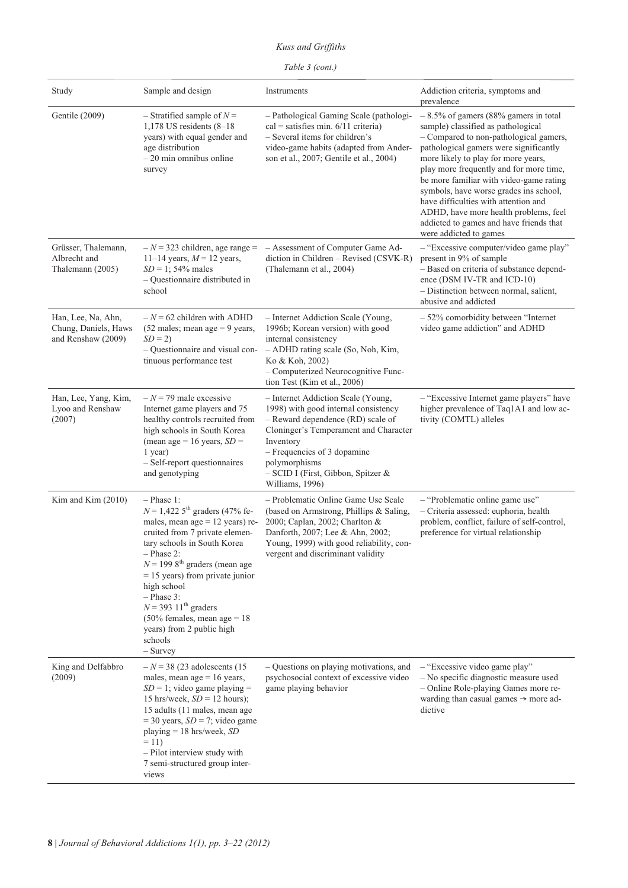*Kuss and Griffiths*

| Study                                                            | Sample and design                                                                                                                                                                                                                                                                                                                                                                                                                           | Instruments                                                                                                                                                                                                                                                                    | Addiction criteria, symptoms and<br>prevalence                                                                                                                                                                                                                                                                                                                                                                                                                                                 |
|------------------------------------------------------------------|---------------------------------------------------------------------------------------------------------------------------------------------------------------------------------------------------------------------------------------------------------------------------------------------------------------------------------------------------------------------------------------------------------------------------------------------|--------------------------------------------------------------------------------------------------------------------------------------------------------------------------------------------------------------------------------------------------------------------------------|------------------------------------------------------------------------------------------------------------------------------------------------------------------------------------------------------------------------------------------------------------------------------------------------------------------------------------------------------------------------------------------------------------------------------------------------------------------------------------------------|
| Gentile (2009)                                                   | - Stratified sample of $N =$<br>1,178 US residents $(8-18)$<br>years) with equal gender and<br>age distribution<br>$-20$ min omnibus online<br>survey                                                                                                                                                                                                                                                                                       | - Pathological Gaming Scale (pathologi-<br>$cal = satisfies min. 6/11$ criteria)<br>- Several items for children's<br>video-game habits (adapted from Ander-<br>son et al., 2007; Gentile et al., 2004)                                                                        | $-8.5\%$ of gamers (88% gamers in total<br>sample) classified as pathological<br>- Compared to non-pathological gamers,<br>pathological gamers were significantly<br>more likely to play for more years,<br>play more frequently and for more time,<br>be more familiar with video-game rating<br>symbols, have worse grades ins school,<br>have difficulties with attention and<br>ADHD, have more health problems, feel<br>addicted to games and have friends that<br>were addicted to games |
| Grüsser, Thalemann,<br>Albrecht and<br>Thalemann (2005)          | $-N = 323$ children, age range =<br>11–14 years, $M = 12$ years,<br>$SD = 1$ ; 54% males<br>$-$ Questionnaire distributed in<br>school                                                                                                                                                                                                                                                                                                      | - Assessment of Computer Game Ad-<br>diction in Children - Revised (CSVK-R)<br>(Thalemann et al., 2004)                                                                                                                                                                        | - "Excessive computer/video game play"<br>present in 9% of sample<br>- Based on criteria of substance depend-<br>ence (DSM IV-TR and ICD-10)<br>- Distinction between normal, salient,<br>abusive and addicted                                                                                                                                                                                                                                                                                 |
| Han, Lee, Na, Ahn,<br>Chung, Daniels, Haws<br>and Renshaw (2009) | $-N = 62$ children with ADHD<br>$(52$ males; mean age = 9 years,<br>$SD = 2$<br>- Questionnaire and visual con-<br>tinuous performance test                                                                                                                                                                                                                                                                                                 | - Internet Addiction Scale (Young,<br>1996b; Korean version) with good<br>internal consistency<br>- ADHD rating scale (So, Noh, Kim,<br>Ko & Koh, 2002)<br>- Computerized Neurocognitive Func-<br>tion Test (Kim et al., 2006)                                                 | $-52\%$ comorbidity between "Internet<br>video game addiction" and ADHD                                                                                                                                                                                                                                                                                                                                                                                                                        |
| Han, Lee, Yang, Kim,<br>Lyoo and Renshaw<br>(2007)               | $-N = 79$ male excessive<br>Internet game players and 75<br>healthy controls recruited from<br>high schools in South Korea<br>(mean age = 16 years, $SD =$<br>1 year)<br>- Self-report questionnaires<br>and genotyping                                                                                                                                                                                                                     | - Internet Addiction Scale (Young,<br>1998) with good internal consistency<br>- Reward dependence (RD) scale of<br>Cloninger's Temperament and Character<br>Inventory<br>- Frequencies of 3 dopamine<br>polymorphisms<br>- SCID I (First, Gibbon, Spitzer &<br>Williams, 1996) | - "Excessive Internet game players" have<br>higher prevalence of Taq1A1 and low ac-<br>tivity (COMTL) alleles                                                                                                                                                                                                                                                                                                                                                                                  |
| Kim and Kim $(2010)$                                             | $-$ Phase 1:<br>$N = 1,422.5$ <sup>th</sup> graders (47% fe-<br>males, mean $age = 12 \text{ years}$ ) re-<br>cruited from 7 private elemen-<br>tary schools in South Korea<br>$-$ Phase 2:<br>$N = 1998$ <sup>th</sup> graders (mean age<br>$= 15$ years) from private junior<br>high school<br>$-$ Phase 3:<br>$N = 393 11$ <sup>th</sup> graders<br>$(50\%$ females, mean age = 18<br>years) from 2 public high<br>schools<br>$-$ Survey | - Problematic Online Game Use Scale<br>(based on Armstrong, Phillips & Saling,<br>2000; Caplan, 2002; Charlton &<br>Danforth, 2007; Lee & Ahn, 2002;<br>Young, 1999) with good reliability, con-<br>vergent and discriminant validity                                          | - "Problematic online game use"<br>- Criteria assessed: euphoria, health<br>problem, conflict, failure of self-control,<br>preference for virtual relationship                                                                                                                                                                                                                                                                                                                                 |
| King and Delfabbro<br>(2009)                                     | $-N$ = 38 (23 adolescents (15)<br>males, mean age $= 16$ years,<br>$SD = 1$ ; video game playing =<br>15 hrs/week, $SD = 12$ hours);<br>15 adults (11 males, mean age<br>$=$ 30 years, $SD = 7$ ; video game<br>playing $= 18$ hrs/week, SD<br>$= 11$<br>- Pilot interview study with<br>7 semi-structured group inter-<br>views                                                                                                            | - Questions on playing motivations, and<br>psychosocial context of excessive video<br>game playing behavior                                                                                                                                                                    | - "Excessive video game play"<br>- No specific diagnostic measure used<br>- Online Role-playing Games more re-<br>warding than casual games $\rightarrow$ more ad-<br>dictive                                                                                                                                                                                                                                                                                                                  |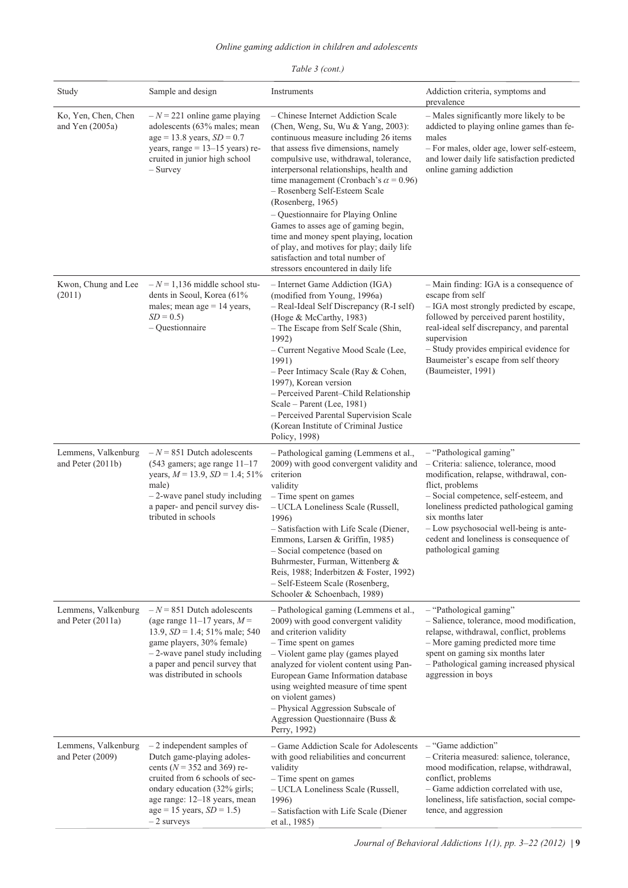| Study                                    | Sample and design                                                                                                                                                                                                                                   | Instruments                                                                                                                                                                                                                                                                                                                                                                                                                                                                        | Addiction criteria, symptoms and<br>prevalence                                                                                                                                                                                                                                                                                                      |
|------------------------------------------|-----------------------------------------------------------------------------------------------------------------------------------------------------------------------------------------------------------------------------------------------------|------------------------------------------------------------------------------------------------------------------------------------------------------------------------------------------------------------------------------------------------------------------------------------------------------------------------------------------------------------------------------------------------------------------------------------------------------------------------------------|-----------------------------------------------------------------------------------------------------------------------------------------------------------------------------------------------------------------------------------------------------------------------------------------------------------------------------------------------------|
| Ko, Yen, Chen, Chen<br>and Yen $(2005a)$ | $-N = 221$ online game playing<br>adolescents (63% males; mean<br>$age = 13.8 \text{ years}, SD = 0.7$<br>years, range = $13-15$ years) re-<br>cruited in junior high school<br>$-$ Survey                                                          | - Chinese Internet Addiction Scale<br>(Chen, Weng, Su, Wu & Yang, 2003):<br>continuous measure including 26 items<br>that assess five dimensions, namely<br>compulsive use, withdrawal, tolerance,<br>interpersonal relationships, health and<br>time management (Cronbach's $\alpha$ = 0.96)<br>- Rosenberg Self-Esteem Scale<br>(Rosenberg, 1965)                                                                                                                                | - Males significantly more likely to be<br>addicted to playing online games than fe-<br>males<br>- For males, older age, lower self-esteem,<br>and lower daily life satisfaction predicted<br>online gaming addiction                                                                                                                               |
|                                          |                                                                                                                                                                                                                                                     | - Questionnaire for Playing Online<br>Games to asses age of gaming begin,<br>time and money spent playing, location<br>of play, and motives for play; daily life<br>satisfaction and total number of<br>stressors encountered in daily life                                                                                                                                                                                                                                        |                                                                                                                                                                                                                                                                                                                                                     |
| Kwon, Chung and Lee<br>(2011)            | $-N = 1,136$ middle school stu-<br>dents in Seoul, Korea (61%<br>males; mean age $= 14$ years,<br>$SD = 0.5$<br>$-$ Questionnaire                                                                                                                   | - Internet Game Addiction (IGA)<br>(modified from Young, 1996a)<br>- Real-Ideal Self Discrepancy (R-I self)<br>(Hoge & McCarthy, 1983)<br>- The Escape from Self Scale (Shin,<br>1992)<br>- Current Negative Mood Scale (Lee,<br>1991)<br>- Peer Intimacy Scale (Ray & Cohen,<br>1997), Korean version<br>- Perceived Parent-Child Relationship<br>Scale – Parent (Lee, 1981)<br>- Perceived Parental Supervision Scale<br>(Korean Institute of Criminal Justice)<br>Policy, 1998) | - Main finding: IGA is a consequence of<br>escape from self<br>- IGA most strongly predicted by escape,<br>followed by perceived parent hostility,<br>real-ideal self discrepancy, and parental<br>supervision<br>- Study provides empirical evidence for<br>Baumeister's escape from self theory<br>(Baumeister, 1991)                             |
| Lemmens, Valkenburg<br>and Peter (2011b) | $-N = 851$ Dutch adolescents<br>$(543$ gamers; age range $11-17$<br>years, $M = 13.9$ , $SD = 1.4$ ; 51%<br>male)<br>$-2$ -wave panel study including<br>a paper- and pencil survey dis-<br>tributed in schools                                     | - Pathological gaming (Lemmens et al.,<br>2009) with good convergent validity and<br>criterion<br>validity<br>- Time spent on games<br>- UCLA Loneliness Scale (Russell,<br>1996)<br>- Satisfaction with Life Scale (Diener,<br>Emmons, Larsen & Griffin, 1985)<br>- Social competence (based on<br>Buhrmester, Furman, Wittenberg &<br>Reis, 1988; Inderbitzen & Foster, 1992)<br>- Self-Esteem Scale (Rosenberg,<br>Schooler & Schoenbach, 1989)                                 | - "Pathological gaming"<br>- Criteria: salience, tolerance, mood<br>modification, relapse, withdrawal, con-<br>flict, problems<br>- Social competence, self-esteem, and<br>loneliness predicted pathological gaming<br>six months later<br>- Low psychosocial well-being is ante-<br>cedent and loneliness is consequence of<br>pathological gaming |
| Lemmens, Valkenburg<br>and Peter (2011a) | $-N = 851$ Dutch adolescents<br>(age range 11–17 years, $M =$<br>13.9, $SD = 1.4$ ; 51% male; 540<br>game players, 30% female)<br>$-2$ -wave panel study including<br>a paper and pencil survey that<br>was distributed in schools                  | - Pathological gaming (Lemmens et al.,<br>2009) with good convergent validity<br>and criterion validity<br>$-$ Time spent on games<br>- Violent game play (games played<br>analyzed for violent content using Pan-<br>European Game Information database<br>using weighted measure of time spent<br>on violent games)<br>- Physical Aggression Subscale of<br>Aggression Questionnaire (Buss &<br>Perry, 1992)                                                                     | - "Pathological gaming"<br>- Salience, tolerance, mood modification,<br>relapse, withdrawal, conflict, problems<br>- More gaming predicted more time<br>spent on gaming six months later<br>- Pathological gaming increased physical<br>aggression in boys                                                                                          |
| Lemmens, Valkenburg<br>and Peter (2009)  | $-2$ independent samples of<br>Dutch game-playing adoles-<br>cents ( $N = 352$ and 369) re-<br>cruited from 6 schools of sec-<br>ondary education (32% girls;<br>age range: 12–18 years, mean<br>$age = 15 \text{ years}, SD = 1.5$<br>$-2$ surveys | - Game Addiction Scale for Adolescents<br>with good reliabilities and concurrent<br>validity<br>- Time spent on games<br>- UCLA Loneliness Scale (Russell,<br>1996)<br>- Satisfaction with Life Scale (Diener<br>et al., 1985)                                                                                                                                                                                                                                                     | $-$ "Game addiction"<br>- Criteria measured: salience, tolerance,<br>mood modification, relapse, withdrawal,<br>conflict, problems<br>- Game addiction correlated with use,<br>loneliness, life satisfaction, social compe-<br>tence, and aggression                                                                                                |

# *Table 3 (cont.)*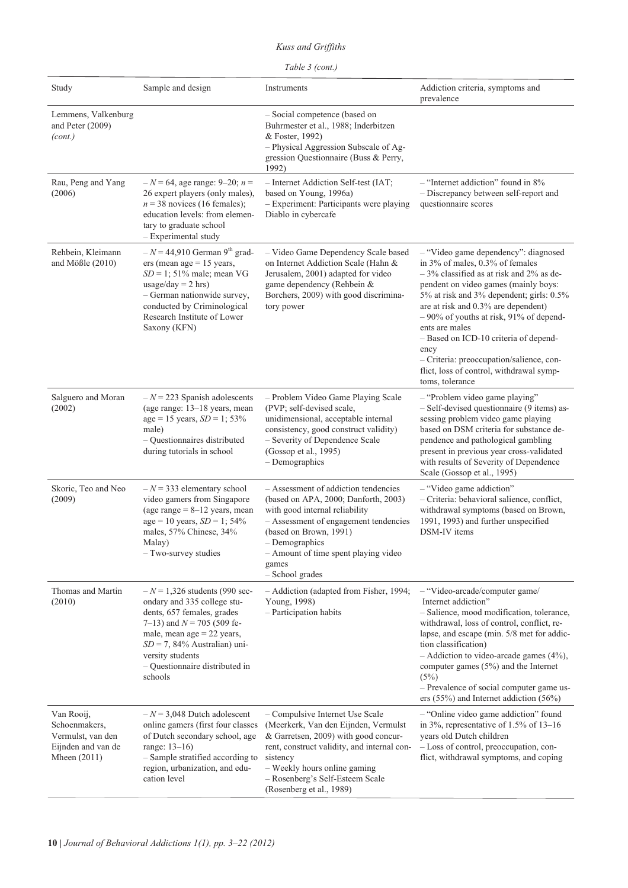# *Kuss and Griffiths*

| Study                                                                                    | Sample and design                                                                                                                                                                                                                                                | Instruments                                                                                                                                                                                                                                                             | Addiction criteria, symptoms and<br>prevalence                                                                                                                                                                                                                                                                                                                                                                                                                              |
|------------------------------------------------------------------------------------------|------------------------------------------------------------------------------------------------------------------------------------------------------------------------------------------------------------------------------------------------------------------|-------------------------------------------------------------------------------------------------------------------------------------------------------------------------------------------------------------------------------------------------------------------------|-----------------------------------------------------------------------------------------------------------------------------------------------------------------------------------------------------------------------------------------------------------------------------------------------------------------------------------------------------------------------------------------------------------------------------------------------------------------------------|
| Lemmens, Valkenburg<br>and Peter (2009)<br>(cont.)                                       |                                                                                                                                                                                                                                                                  | - Social competence (based on<br>Buhrmester et al., 1988; Inderbitzen<br>& Foster, 1992)<br>- Physical Aggression Subscale of Ag-<br>gression Questionnaire (Buss & Perry,<br>1992)                                                                                     |                                                                                                                                                                                                                                                                                                                                                                                                                                                                             |
| Rau, Peng and Yang<br>(2006)                                                             | $-N = 64$ , age range: 9–20; $n =$<br>26 expert players (only males),<br>$n = 38$ novices (16 females);<br>education levels: from elemen-<br>tary to graduate school<br>- Experimental study                                                                     | - Internet Addiction Self-test (IAT;<br>based on Young, 1996a)<br>- Experiment: Participants were playing<br>Diablo in cybercafe                                                                                                                                        | $-$ "Internet addiction" found in 8%<br>- Discrepancy between self-report and<br>questionnaire scores                                                                                                                                                                                                                                                                                                                                                                       |
| Rehbein, Kleimann<br>and Mößle (2010)                                                    | $-N = 44,910$ German 9 <sup>th</sup> grad-<br>$ers (mean age = 15 years,$<br>$SD = 1$ ; 51% male; mean VG<br>usage/day = $2$ hrs)<br>- German nationwide survey,<br>conducted by Criminological<br>Research Institute of Lower<br>Saxony (KFN)                   | - Video Game Dependency Scale based<br>on Internet Addiction Scale (Hahn &<br>Jerusalem, 2001) adapted for video<br>game dependency (Rehbein &<br>Borchers, 2009) with good discrimina-<br>tory power                                                                   | - "Video game dependency": diagnosed<br>in 3% of males, 0.3% of females<br>$-3\%$ classified as at risk and 2% as de-<br>pendent on video games (mainly boys:<br>5% at risk and 3% dependent; girls: 0.5%<br>are at risk and 0.3% are dependent)<br>$-90\%$ of youths at risk, 91% of depend-<br>ents are males<br>- Based on ICD-10 criteria of depend-<br>ency<br>- Criteria: preoccupation/salience, con-<br>flict, loss of control, withdrawal symp-<br>toms, tolerance |
| Salguero and Moran<br>(2002)                                                             | $-N = 223$ Spanish adolescents<br>(age range: 13-18 years, mean<br>$age = 15 \text{ years}, SD = 1; 53\%$<br>male)<br>- Questionnaires distributed<br>during tutorials in school                                                                                 | - Problem Video Game Playing Scale<br>(PVP; self-devised scale,<br>unidimensional, acceptable internal<br>consistency, good construct validity)<br>- Severity of Dependence Scale<br>(Gossop et al., 1995)<br>$-$ Demographics                                          | - "Problem video game playing"<br>- Self-devised questionnaire (9 items) as-<br>sessing problem video game playing<br>based on DSM criteria for substance de-<br>pendence and pathological gambling<br>present in previous year cross-validated<br>with results of Severity of Dependence<br>Scale (Gossop et al., 1995)                                                                                                                                                    |
| Skoric, Teo and Neo<br>(2009)                                                            | $-N = 333$ elementary school<br>video gamers from Singapore<br>(age range $= 8 - 12$ years, mean<br>$age = 10 years, SD = 1; 54%$<br>males, 57% Chinese, 34%<br>Malay)<br>- Two-survey studies                                                                   | - Assessment of addiction tendencies<br>(based on APA, 2000; Danforth, 2003)<br>with good internal reliability<br>- Assessment of engagement tendencies<br>(based on Brown, 1991)<br>- Demographics<br>- Amount of time spent playing video<br>games<br>- School grades | - "Video game addiction"<br>- Criteria: behavioral salience, conflict,<br>withdrawal symptoms (based on Brown,<br>1991, 1993) and further unspecified<br>DSM-IV items                                                                                                                                                                                                                                                                                                       |
| Thomas and Martin<br>(2010)                                                              | $-N = 1,326$ students (990 sec-<br>ondary and 335 college stu-<br>dents, 657 females, grades<br>7–13) and $N = 705$ (509 fe-<br>male, mean age $= 22$ years,<br>$SD = 7$ , 84% Australian) uni-<br>versity students<br>- Questionnaire distributed in<br>schools | - Addiction (adapted from Fisher, 1994;<br>Young, 1998)<br>$-$ Participation habits                                                                                                                                                                                     | - "Video-arcade/computer game/<br>Internet addiction"<br>- Salience, mood modification, tolerance,<br>withdrawal, loss of control, conflict, re-<br>lapse, and escape (min. 5/8 met for addic-<br>tion classification)<br>$-$ Addiction to video-arcade games (4%),<br>computer games $(5%)$ and the Internet<br>(5%)<br>- Prevalence of social computer game us-<br>ers $(55\%)$ and Internet addiction $(56\%)$                                                           |
| Van Rooij,<br>Schoenmakers,<br>Vermulst, van den<br>Eijnden and van de<br>Mheen $(2011)$ | $-N = 3,048$ Dutch adolescent<br>online gamers (first four classes<br>of Dutch secondary school, age<br>range: $13-16$ )<br>- Sample stratified according to<br>region, urbanization, and edu-<br>cation level                                                   | - Compulsive Internet Use Scale<br>(Meerkerk, Van den Eijnden, Vermulst<br>& Garretsen, 2009) with good concur-<br>rent, construct validity, and internal con-<br>sistency<br>- Weekly hours online gaming<br>- Rosenberg's Self-Esteem Scale                           | - "Online video game addiction" found<br>in 3%, representative of 1.5% of 13-16<br>years old Dutch children<br>- Loss of control, preoccupation, con-<br>flict, withdrawal symptoms, and coping                                                                                                                                                                                                                                                                             |

(Rosenberg et al., 1989)

*Table 3 (cont.)*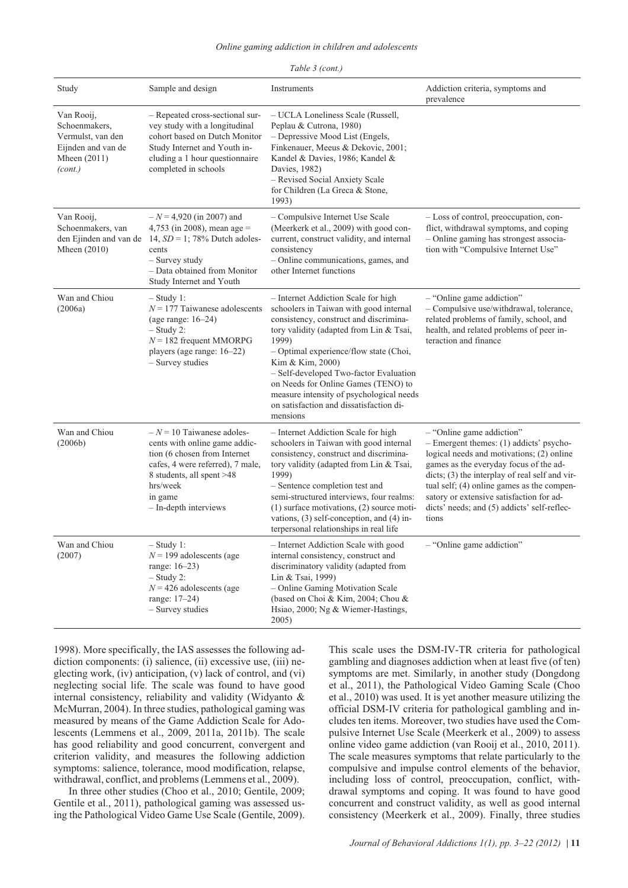#### *Online gaming addiction in children and adolescents*

| Study                                                                                               | Sample and design                                                                                                                                                                                               | Instruments                                                                                                                                                                                                                                                                                                                                                                                                                   | Addiction criteria, symptoms and<br>prevalence                                                                                                                                                                                                                                                                                                                       |
|-----------------------------------------------------------------------------------------------------|-----------------------------------------------------------------------------------------------------------------------------------------------------------------------------------------------------------------|-------------------------------------------------------------------------------------------------------------------------------------------------------------------------------------------------------------------------------------------------------------------------------------------------------------------------------------------------------------------------------------------------------------------------------|----------------------------------------------------------------------------------------------------------------------------------------------------------------------------------------------------------------------------------------------------------------------------------------------------------------------------------------------------------------------|
| Van Rooij,<br>Schoenmakers,<br>Vermulst, van den<br>Eijnden and van de<br>Mheen $(2011)$<br>(cont.) | - Repeated cross-sectional sur-<br>vey study with a longitudinal<br>cohort based on Dutch Monitor<br>Study Internet and Youth in-<br>cluding a 1 hour questionnaire<br>completed in schools                     | - UCLA Loneliness Scale (Russell,<br>Peplau & Cutrona, 1980)<br>- Depressive Mood List (Engels,<br>Finkenauer, Meeus & Dekovic, 2001;<br>Kandel & Davies, 1986; Kandel &<br>Davies, 1982)<br>- Revised Social Anxiety Scale<br>for Children (La Greca & Stone,<br>1993)                                                                                                                                                       |                                                                                                                                                                                                                                                                                                                                                                      |
| Van Rooij,<br>Schoenmakers, van<br>Mheen $(2010)$                                                   | $-N = 4,920$ (in 2007) and<br>4,753 (in 2008), mean age =<br>den Ejinden and van de 14, $SD = 1$ ; 78% Dutch adoles-<br>cents<br>- Survey study<br>- Data obtained from Monitor<br>Study Internet and Youth     | - Compulsive Internet Use Scale<br>(Meerkerk et al., 2009) with good con-<br>current, construct validity, and internal<br>consistency<br>- Online communications, games, and<br>other Internet functions                                                                                                                                                                                                                      | - Loss of control, preoccupation, con-<br>flict, withdrawal symptoms, and coping<br>- Online gaming has strongest associa-<br>tion with "Compulsive Internet Use"                                                                                                                                                                                                    |
| Wan and Chiou<br>(2006a)                                                                            | $-$ Study 1:<br>$N = 177$ Taiwanese adolescents<br>(age range: $16-24$ )<br>$-$ Study 2:<br>$N = 182$ frequent MMORPG<br>players (age range: 16–22)<br>- Survey studies                                         | - Internet Addiction Scale for high<br>schoolers in Taiwan with good internal<br>consistency, construct and discrimina-<br>tory validity (adapted from Lin & Tsai,<br>1999)<br>- Optimal experience/flow state (Choi,<br>Kim & Kim, 2000)<br>- Self-developed Two-factor Evaluation<br>on Needs for Online Games (TENO) to<br>measure intensity of psychological needs<br>on satisfaction and dissatisfaction di-<br>mensions | $-$ "Online game addiction"<br>- Compulsive use/withdrawal, tolerance,<br>related problems of family, school, and<br>health, and related problems of peer in-<br>teraction and finance                                                                                                                                                                               |
| Wan and Chiou<br>(2006b)                                                                            | $-N = 10$ Taiwanese adoles-<br>cents with online game addic-<br>tion (6 chosen from Internet<br>cafes, 4 were referred), 7 male,<br>8 students, all spent >48<br>hrs/week<br>in game<br>$-$ In-depth interviews | - Internet Addiction Scale for high<br>schoolers in Taiwan with good internal<br>consistency, construct and discrimina-<br>tory validity (adapted from Lin & Tsai,<br>1999)<br>- Sentence completion test and<br>semi-structured interviews, four realms:<br>$(1)$ surface motivations, $(2)$ source moti-<br>vations, $(3)$ self-conception, and $(4)$ in-<br>terpersonal relationships in real life                         | $-$ "Online game addiction"<br>- Emergent themes: (1) addicts' psycho-<br>logical needs and motivations; (2) online<br>games as the everyday focus of the ad-<br>$dicts$ ; (3) the interplay of real self and vir-<br>tual self; (4) online games as the compen-<br>satory or extensive satisfaction for ad-<br>dicts' needs; and (5) addicts' self-reflec-<br>tions |
| Wan and Chiou<br>(2007)                                                                             | $-$ Study 1:<br>$N = 199$ adolescents (age<br>range: 16-23)<br>$-$ Study 2:<br>$N = 426$ adolescents (age<br>range: 17-24)<br>- Survey studies                                                                  | - Internet Addiction Scale with good<br>internal consistency, construct and<br>discriminatory validity (adapted from<br>Lin & Tsai, 1999)<br>- Online Gaming Motivation Scale<br>(based on Choi & Kim, 2004; Chou &<br>Hsiao, 2000; Ng & Wiemer-Hastings,<br>2005)                                                                                                                                                            | - "Online game addiction"                                                                                                                                                                                                                                                                                                                                            |

### *Table 3 (cont.)*

1998). More specifically, the IAS assesses the following addiction components: (i) salience, (ii) excessive use, (iii) neglecting work, (iv) anticipation, (v) lack of control, and (vi) neglecting social life. The scale was found to have good internal consistency, reliability and validity (Widyanto & McMurran, 2004). In three studies, pathological gaming was measured by means of the Game Addiction Scale for Adolescents (Lemmens et al., 2009, 2011a, 2011b). The scale has good reliability and good concurrent, convergent and criterion validity, and measures the following addiction symptoms: salience, tolerance, mood modification, relapse, withdrawal, conflict, and problems (Lemmens et al., 2009).

In three other studies (Choo et al., 2010; Gentile, 2009; Gentile et al., 2011), pathological gaming was assessed using the Pathological Video Game Use Scale (Gentile, 2009). This scale uses the DSM-IV-TR criteria for pathological gambling and diagnoses addiction when at least five (of ten) symptoms are met. Similarly, in another study (Dongdong et al., 2011), the Pathological Video Gaming Scale (Choo et al., 2010) was used. It is yet another measure utilizing the official DSM-IV criteria for pathological gambling and includes ten items. Moreover, two studies have used the Compulsive Internet Use Scale (Meerkerk et al., 2009) to assess online video game addiction (van Rooij et al., 2010, 2011). The scale measures symptoms that relate particularly to the compulsive and impulse control elements of the behavior, including loss of control, preoccupation, conflict, withdrawal symptoms and coping. It was found to have good concurrent and construct validity, as well as good internal consistency (Meerkerk et al., 2009). Finally, three studies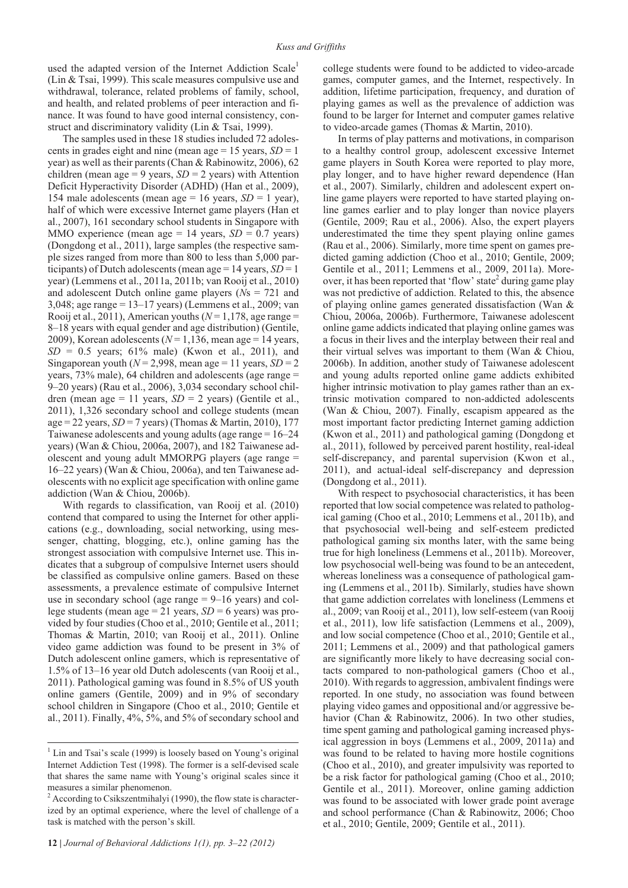used the adapted version of the Internet Addiction Scale<sup>1</sup> (Lin & Tsai, 1999). This scale measures compulsive use and withdrawal, tolerance, related problems of family, school, and health, and related problems of peer interaction and finance. It was found to have good internal consistency, construct and discriminatory validity (Lin & Tsai, 1999).

The samples used in these 18 studies included 72 adolescents in grades eight and nine (mean age  $= 15$  years,  $SD = 1$ year) as well as their parents (Chan & Rabinowitz, 2006), 62 children (mean age = 9 years,  $SD = 2$  years) with Attention Deficit Hyperactivity Disorder (ADHD) (Han et al., 2009), 154 male adolescents (mean age  $= 16$  years, *SD*  $= 1$  year), half of which were excessive Internet game players (Han et al., 2007), 161 secondary school students in Singapore with MMO experience (mean age  $= 14$  years,  $SD = 0.7$  years) (Dongdong et al., 2011), large samples (the respective sample sizes ranged from more than 800 to less than 5,000 participants) of Dutch adolescents (mean age = 14 years, *SD* = 1 year) (Lemmens et al., 2011a, 2011b; van Rooij et al., 2010) and adolescent Dutch online game players (*N*s = 721 and 3,048; age range = 13–17 years) (Lemmens et al., 2009; van Rooij et al., 2011), American youths ( $N = 1,178$ , age range = 8–18 years with equal gender and age distribution) (Gentile, 2009), Korean adolescents ( $N = 1,136$ , mean age = 14 years,  $SD = 0.5$  years; 61% male) (Kwon et al., 2011), and Singaporean youth ( $N = 2,998$ , mean age = 11 years,  $SD = 2$ years, 73% male), 64 children and adolescents (age range = 9–20 years) (Rau et al., 2006), 3,034 secondary school children (mean age  $= 11$  years,  $SD = 2$  years) (Gentile et al., 2011), 1,326 secondary school and college students (mean age = 22 years, *SD* = 7 years) (Thomas & Martin, 2010), 177 Taiwanese adolescents and young adults (age range = 16–24 years) (Wan & Chiou, 2006a, 2007), and 182 Taiwanese adolescent and young adult MMORPG players (age range = 16–22 years) (Wan & Chiou, 2006a), and ten Taiwanese adolescents with no explicit age specification with online game addiction (Wan & Chiou, 2006b).

With regards to classification, van Rooij et al. (2010) contend that compared to using the Internet for other applications (e.g., downloading, social networking, using messenger, chatting, blogging, etc.), online gaming has the strongest association with compulsive Internet use. This indicates that a subgroup of compulsive Internet users should be classified as compulsive online gamers. Based on these assessments, a prevalence estimate of compulsive Internet use in secondary school (age range  $= 9-16$  years) and college students (mean age = 21 years, *SD* = 6 years) was provided by four studies (Choo et al., 2010; Gentile et al., 2011; Thomas & Martin, 2010; van Rooij et al., 2011). Online video game addiction was found to be present in 3% of Dutch adolescent online gamers, which is representative of 1.5% of 13–16 year old Dutch adolescents (van Rooij et al., 2011). Pathological gaming was found in 8.5% of US youth online gamers (Gentile, 2009) and in 9% of secondary school children in Singapore (Choo et al., 2010; Gentile et al., 2011). Finally, 4%, 5%, and 5% of secondary school and

college students were found to be addicted to video-arcade games, computer games, and the Internet, respectively. In addition, lifetime participation, frequency, and duration of playing games as well as the prevalence of addiction was found to be larger for Internet and computer games relative to video-arcade games (Thomas & Martin, 2010).

In terms of play patterns and motivations, in comparison to a healthy control group, adolescent excessive Internet game players in South Korea were reported to play more, play longer, and to have higher reward dependence (Han et al., 2007). Similarly, children and adolescent expert online game players were reported to have started playing online games earlier and to play longer than novice players (Gentile, 2009; Rau et al., 2006). Also, the expert players underestimated the time they spent playing online games (Rau et al., 2006). Similarly, more time spent on games predicted gaming addiction (Choo et al., 2010; Gentile, 2009; Gentile et al., 2011; Lemmens et al., 2009, 2011a). Moreover, it has been reported that 'flow' state<sup>2</sup> during game play was not predictive of addiction. Related to this, the absence of playing online games generated dissatisfaction (Wan & Chiou, 2006a, 2006b). Furthermore, Taiwanese adolescent online game addicts indicated that playing online games was a focus in their lives and the interplay between their real and their virtual selves was important to them (Wan & Chiou, 2006b). In addition, another study of Taiwanese adolescent and young adults reported online game addicts exhibited higher intrinsic motivation to play games rather than an extrinsic motivation compared to non-addicted adolescents (Wan & Chiou, 2007). Finally, escapism appeared as the most important factor predicting Internet gaming addiction (Kwon et al., 2011) and pathological gaming (Dongdong et al., 2011), followed by perceived parent hostility, real-ideal self-discrepancy, and parental supervision (Kwon et al., 2011), and actual-ideal self-discrepancy and depression (Dongdong et al., 2011).

With respect to psychosocial characteristics, it has been reported that low social competence was related to pathological gaming (Choo et al., 2010; Lemmens et al., 2011b), and that psychosocial well-being and self-esteem predicted pathological gaming six months later, with the same being true for high loneliness (Lemmens et al., 2011b). Moreover, low psychosocial well-being was found to be an antecedent, whereas loneliness was a consequence of pathological gaming (Lemmens et al., 2011b). Similarly, studies have shown that game addiction correlates with loneliness (Lemmens et al., 2009; van Rooij et al., 2011), low self-esteem (van Rooij et al., 2011), low life satisfaction (Lemmens et al., 2009), and low social competence (Choo et al., 2010; Gentile et al., 2011; Lemmens et al., 2009) and that pathological gamers are significantly more likely to have decreasing social contacts compared to non-pathological gamers (Choo et al., 2010). With regards to aggression, ambivalent findings were reported. In one study, no association was found between playing video games and oppositional and/or aggressive behavior (Chan & Rabinowitz, 2006). In two other studies, time spent gaming and pathological gaming increased physical aggression in boys (Lemmens et al., 2009, 2011a) and was found to be related to having more hostile cognitions (Choo et al., 2010), and greater impulsivity was reported to be a risk factor for pathological gaming (Choo et al., 2010; Gentile et al., 2011). Moreover, online gaming addiction was found to be associated with lower grade point average and school performance (Chan & Rabinowitz, 2006; Choo et al., 2010; Gentile, 2009; Gentile et al., 2011).

 $<sup>1</sup>$  Lin and Tsai's scale (1999) is loosely based on Young's original</sup> Internet Addiction Test (1998). The former is a self-devised scale that shares the same name with Young's original scales since it measures a similar phenomenon.

 $2\text{ According to Csikszentmihalyi (1990), the flow state is character-}$ ized by an optimal experience, where the level of challenge of a task is matched with the person's skill.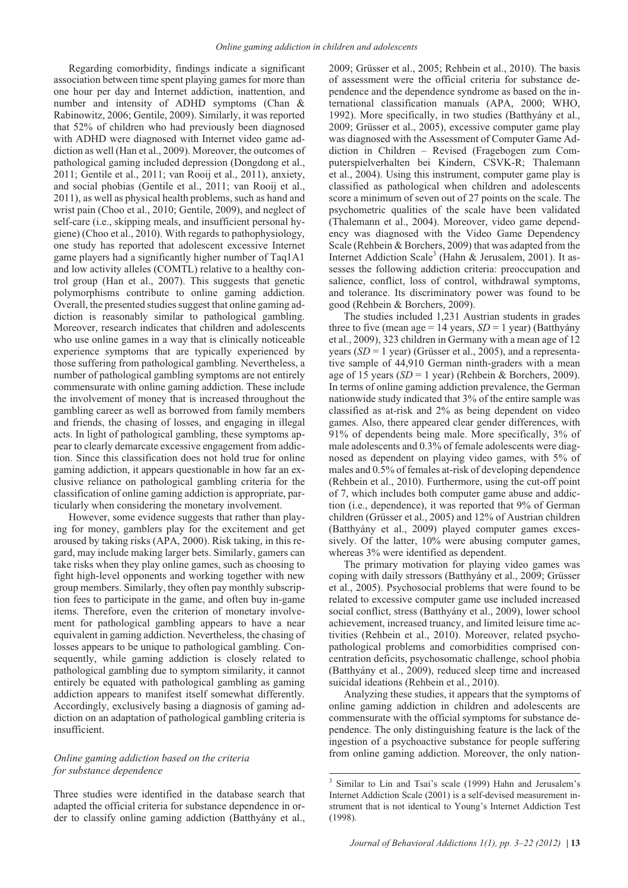Regarding comorbidity, findings indicate a significant association between time spent playing games for more than one hour per day and Internet addiction, inattention, and number and intensity of ADHD symptoms (Chan & Rabinowitz, 2006; Gentile, 2009). Similarly, it was reported that 52% of children who had previously been diagnosed with ADHD were diagnosed with Internet video game addiction as well (Han et al., 2009). Moreover, the outcomes of pathological gaming included depression (Dongdong et al., 2011; Gentile et al., 2011; van Rooij et al., 2011), anxiety, and social phobias (Gentile et al., 2011; van Rooij et al., 2011), as well as physical health problems, such as hand and wrist pain (Choo et al., 2010; Gentile, 2009), and neglect of self-care (i.e., skipping meals, and insufficient personal hygiene) (Choo et al., 2010). With regards to pathophysiology, one study has reported that adolescent excessive Internet game players had a significantly higher number of Taq1A1 and low activity alleles (COMTL) relative to a healthy control group (Han et al., 2007). This suggests that genetic polymorphisms contribute to online gaming addiction. Overall, the presented studies suggest that online gaming addiction is reasonably similar to pathological gambling. Moreover, research indicates that children and adolescents who use online games in a way that is clinically noticeable experience symptoms that are typically experienced by those suffering from pathological gambling. Nevertheless, a number of pathological gambling symptoms are not entirely commensurate with online gaming addiction. These include the involvement of money that is increased throughout the gambling career as well as borrowed from family members and friends, the chasing of losses, and engaging in illegal acts. In light of pathological gambling, these symptoms appear to clearly demarcate excessive engagement from addiction. Since this classification does not hold true for online gaming addiction, it appears questionable in how far an exclusive reliance on pathological gambling criteria for the classification of online gaming addiction is appropriate, particularly when considering the monetary involvement.

However, some evidence suggests that rather than playing for money, gamblers play for the excitement and get aroused by taking risks (APA, 2000). Risk taking, in this regard, may include making larger bets. Similarly, gamers can take risks when they play online games, such as choosing to fight high-level opponents and working together with new group members. Similarly, they often pay monthly subscription fees to participate in the game, and often buy in-game items. Therefore, even the criterion of monetary involvement for pathological gambling appears to have a near equivalent in gaming addiction. Nevertheless, the chasing of losses appears to be unique to pathological gambling. Consequently, while gaming addiction is closely related to pathological gambling due to symptom similarity, it cannot entirely be equated with pathological gambling as gaming addiction appears to manifest itself somewhat differently. Accordingly, exclusively basing a diagnosis of gaming addiction on an adaptation of pathological gambling criteria is insufficient.

# *Online gaming addiction based on the criteria for substance dependence*

Three studies were identified in the database search that adapted the official criteria for substance dependence in order to classify online gaming addiction (Batthyány et al., 2009; Grüsser et al., 2005; Rehbein et al., 2010). The basis of assessment were the official criteria for substance dependence and the dependence syndrome as based on the international classification manuals (APA, 2000; WHO, 1992). More specifically, in two studies (Batthyány et al., 2009; Grüsser et al., 2005), excessive computer game play was diagnosed with the Assessment of Computer Game Addiction in Children – Revised (Fragebogen zum Computerspielverhalten bei Kindern, CSVK-R; Thalemann et al., 2004). Using this instrument, computer game play is classified as pathological when children and adolescents score a minimum of seven out of 27 points on the scale. The psychometric qualities of the scale have been validated (Thalemann et al., 2004). Moreover, video game dependency was diagnosed with the Video Game Dependency Scale (Rehbein & Borchers, 2009) that was adapted from the Internet Addiction Scale<sup>3</sup> (Hahn & Jerusalem, 2001). It assesses the following addiction criteria: preoccupation and salience, conflict, loss of control, withdrawal symptoms, and tolerance. Its discriminatory power was found to be good (Rehbein & Borchers, 2009).

The studies included 1,231 Austrian students in grades three to five (mean age = 14 years,  $SD = 1$  year) (Batthyány et al., 2009), 323 children in Germany with a mean age of 12 years (*SD* = 1 year) (Grüsser et al., 2005), and a representative sample of 44,910 German ninth-graders with a mean age of 15 years (*SD* = 1 year) (Rehbein & Borchers, 2009). In terms of online gaming addiction prevalence, the German nationwide study indicated that 3% of the entire sample was classified as at-risk and 2% as being dependent on video games. Also, there appeared clear gender differences, with 91% of dependents being male. More specifically, 3% of male adolescents and 0.3% of female adolescents were diagnosed as dependent on playing video games, with 5% of males and 0.5% of females at-risk of developing dependence (Rehbein et al., 2010). Furthermore, using the cut-off point of 7, which includes both computer game abuse and addiction (i.e., dependence), it was reported that 9% of German children (Grüsser et al., 2005) and 12% of Austrian children (Batthyány et al., 2009) played computer games excessively. Of the latter,  $10\%$  were abusing computer games, whereas 3% were identified as dependent.

The primary motivation for playing video games was coping with daily stressors (Batthyány et al., 2009; Grüsser et al., 2005). Psychosocial problems that were found to be related to excessive computer game use included increased social conflict, stress (Batthyány et al., 2009), lower school achievement, increased truancy, and limited leisure time activities (Rehbein et al., 2010). Moreover, related psychopathological problems and comorbidities comprised concentration deficits, psychosomatic challenge, school phobia (Batthyány et al., 2009), reduced sleep time and increased suicidal ideations (Rehbein et al., 2010).

Analyzing these studies, it appears that the symptoms of online gaming addiction in children and adolescents are commensurate with the official symptoms for substance dependence. The only distinguishing feature is the lack of the ingestion of a psychoactive substance for people suffering from online gaming addiction. Moreover, the only nation-

<sup>3</sup> Similar to Lin and Tsai's scale (1999) Hahn and Jerusalem's Internet Addiction Scale (2001) is a self-devised measurement instrument that is not identical to Young's Internet Addiction Test (1998).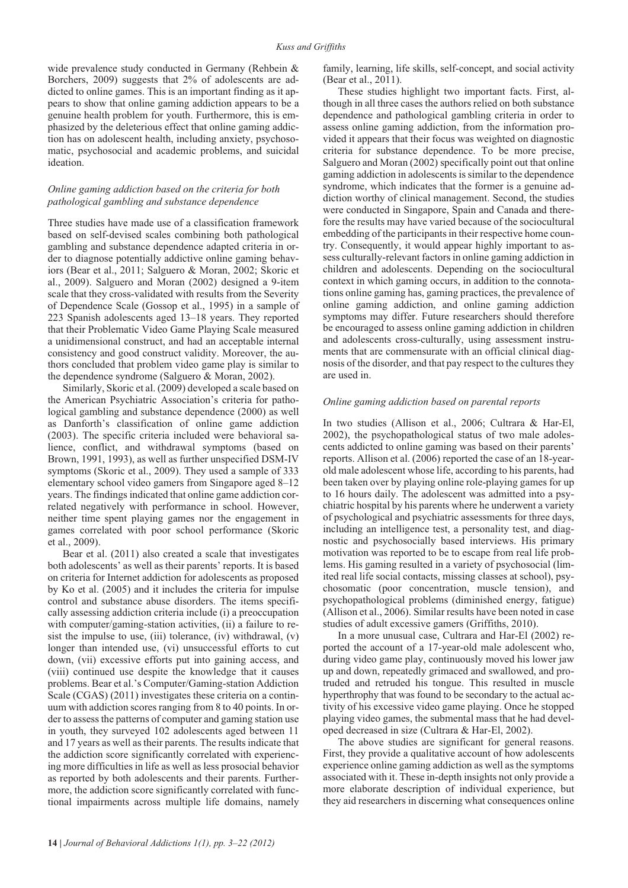wide prevalence study conducted in Germany (Rehbein & Borchers, 2009) suggests that 2% of adolescents are addicted to online games. This is an important finding as it appears to show that online gaming addiction appears to be a genuine health problem for youth. Furthermore, this is emphasized by the deleterious effect that online gaming addiction has on adolescent health, including anxiety, psychosomatic, psychosocial and academic problems, and suicidal ideation.

# *Online gaming addiction based on the criteria for both pathological gambling and substance dependence*

Three studies have made use of a classification framework based on self-devised scales combining both pathological gambling and substance dependence adapted criteria in order to diagnose potentially addictive online gaming behaviors (Bear et al., 2011; Salguero & Moran, 2002; Skoric et al., 2009). Salguero and Moran (2002) designed a 9-item scale that they cross-validated with results from the Severity of Dependence Scale (Gossop et al., 1995) in a sample of 223 Spanish adolescents aged 13–18 years. They reported that their Problematic Video Game Playing Scale measured a unidimensional construct, and had an acceptable internal consistency and good construct validity. Moreover, the authors concluded that problem video game play is similar to the dependence syndrome (Salguero & Moran, 2002).

Similarly, Skoric et al. (2009) developed a scale based on the American Psychiatric Association's criteria for pathological gambling and substance dependence (2000) as well as Danforth's classification of online game addiction (2003). The specific criteria included were behavioral salience, conflict, and withdrawal symptoms (based on Brown, 1991, 1993), as well as further unspecified DSM-IV symptoms (Skoric et al., 2009). They used a sample of 333 elementary school video gamers from Singapore aged 8–12 years. The findings indicated that online game addiction correlated negatively with performance in school. However, neither time spent playing games nor the engagement in games correlated with poor school performance (Skoric et al., 2009).

Bear et al. (2011) also created a scale that investigates both adolescents' as well as their parents' reports. It is based on criteria for Internet addiction for adolescents as proposed by Ko et al. (2005) and it includes the criteria for impulse control and substance abuse disorders. The items specifically assessing addiction criteria include (i) a preoccupation with computer/gaming-station activities, (ii) a failure to resist the impulse to use, (iii) tolerance, (iv) withdrawal,  $(v)$ longer than intended use, (vi) unsuccessful efforts to cut down, (vii) excessive efforts put into gaining access, and (viii) continued use despite the knowledge that it causes problems. Bear et al.'s Computer/Gaming-station Addiction Scale (CGAS) (2011) investigates these criteria on a continuum with addiction scores ranging from 8 to 40 points. In order to assess the patterns of computer and gaming station use in youth, they surveyed 102 adolescents aged between 11 and 17 years as well as their parents. The results indicate that the addiction score significantly correlated with experiencing more difficulties in life as well as less prosocial behavior as reported by both adolescents and their parents. Furthermore, the addiction score significantly correlated with functional impairments across multiple life domains, namely family, learning, life skills, self-concept, and social activity (Bear et al., 2011).

These studies highlight two important facts. First, although in all three cases the authors relied on both substance dependence and pathological gambling criteria in order to assess online gaming addiction, from the information provided it appears that their focus was weighted on diagnostic criteria for substance dependence. To be more precise, Salguero and Moran (2002) specifically point out that online gaming addiction in adolescents is similar to the dependence syndrome, which indicates that the former is a genuine addiction worthy of clinical management. Second, the studies were conducted in Singapore, Spain and Canada and therefore the results may have varied because of the sociocultural embedding of the participants in their respective home country. Consequently, it would appear highly important to assess culturally-relevant factors in online gaming addiction in children and adolescents. Depending on the sociocultural context in which gaming occurs, in addition to the connotations online gaming has, gaming practices, the prevalence of online gaming addiction, and online gaming addiction symptoms may differ. Future researchers should therefore be encouraged to assess online gaming addiction in children and adolescents cross-culturally, using assessment instruments that are commensurate with an official clinical diagnosis of the disorder, and that pay respect to the cultures they are used in.

### *Online gaming addiction based on parental reports*

In two studies (Allison et al., 2006; Cultrara & Har-El, 2002), the psychopathological status of two male adolescents addicted to online gaming was based on their parents' reports. Allison et al. (2006) reported the case of an 18-yearold male adolescent whose life, according to his parents, had been taken over by playing online role-playing games for up to 16 hours daily. The adolescent was admitted into a psychiatric hospital by his parents where he underwent a variety of psychological and psychiatric assessments for three days, including an intelligence test, a personality test, and diagnostic and psychosocially based interviews. His primary motivation was reported to be to escape from real life problems. His gaming resulted in a variety of psychosocial (limited real life social contacts, missing classes at school), psychosomatic (poor concentration, muscle tension), and psychopathological problems (diminished energy, fatigue) (Allison et al., 2006). Similar results have been noted in case studies of adult excessive gamers (Griffiths, 2010).

In a more unusual case, Cultrara and Har-El (2002) reported the account of a 17-year-old male adolescent who, during video game play, continuously moved his lower jaw up and down, repeatedly grimaced and swallowed, and protruded and retruded his tongue. This resulted in muscle hyperthrophy that was found to be secondary to the actual activity of his excessive video game playing. Once he stopped playing video games, the submental mass that he had developed decreased in size (Cultrara & Har-El, 2002).

The above studies are significant for general reasons. First, they provide a qualitative account of how adolescents experience online gaming addiction as well as the symptoms associated with it. These in-depth insights not only provide a more elaborate description of individual experience, but they aid researchers in discerning what consequences online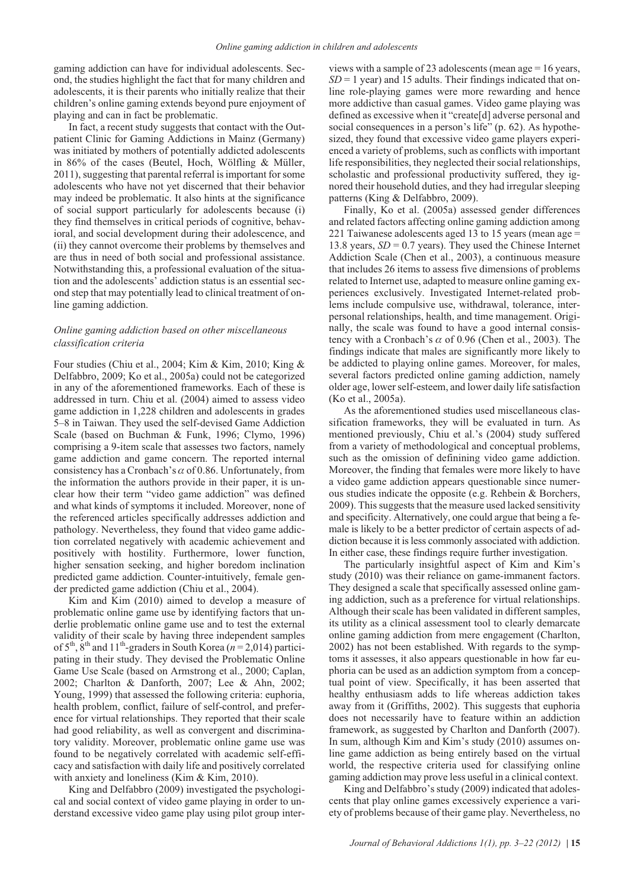gaming addiction can have for individual adolescents. Second, the studies highlight the fact that for many children and adolescents, it is their parents who initially realize that their children's online gaming extends beyond pure enjoyment of playing and can in fact be problematic.

In fact, a recent study suggests that contact with the Outpatient Clinic for Gaming Addictions in Mainz (Germany) was initiated by mothers of potentially addicted adolescents in 86% of the cases (Beutel, Hoch, Wölfling & Müller, 2011), suggesting that parental referral is important for some adolescents who have not yet discerned that their behavior may indeed be problematic. It also hints at the significance of social support particularly for adolescents because (i) they find themselves in critical periods of cognitive, behavioral, and social development during their adolescence, and (ii) they cannot overcome their problems by themselves and are thus in need of both social and professional assistance. Notwithstanding this, a professional evaluation of the situation and the adolescents' addiction status is an essential second step that may potentially lead to clinical treatment of online gaming addiction.

### *Online gaming addiction based on other miscellaneous classification criteria*

Four studies (Chiu et al., 2004; Kim & Kim, 2010; King & Delfabbro, 2009; Ko et al., 2005a) could not be categorized in any of the aforementioned frameworks. Each of these is addressed in turn. Chiu et al. (2004) aimed to assess video game addiction in 1,228 children and adolescents in grades 5–8 in Taiwan. They used the self-devised Game Addiction Scale (based on Buchman & Funk, 1996; Clymo, 1996) comprising a 9-item scale that assesses two factors, namely game addiction and game concern. The reported internal consistency has a Cronbach's  $\alpha$  of 0.86. Unfortunately, from the information the authors provide in their paper, it is unclear how their term "video game addiction" was defined and what kinds of symptoms it included. Moreover, none of the referenced articles specifically addresses addiction and pathology. Nevertheless, they found that video game addiction correlated negatively with academic achievement and positively with hostility. Furthermore, lower function, higher sensation seeking, and higher boredom inclination predicted game addiction. Counter-intuitively, female gender predicted game addiction (Chiu et al., 2004).

Kim and Kim (2010) aimed to develop a measure of problematic online game use by identifying factors that underlie problematic online game use and to test the external validity of their scale by having three independent samples of  $5<sup>th</sup>$ ,  $8<sup>th</sup>$  and  $11<sup>th</sup>$ -graders in South Korea ( $n = 2,014$ ) participating in their study. They devised the Problematic Online Game Use Scale (based on Armstrong et al., 2000; Caplan, 2002; Charlton & Danforth, 2007; Lee & Ahn, 2002; Young, 1999) that assessed the following criteria: euphoria, health problem, conflict, failure of self-control, and preference for virtual relationships. They reported that their scale had good reliability, as well as convergent and discriminatory validity. Moreover, problematic online game use was found to be negatively correlated with academic self-efficacy and satisfaction with daily life and positively correlated with anxiety and loneliness (Kim & Kim, 2010).

King and Delfabbro (2009) investigated the psychological and social context of video game playing in order to understand excessive video game play using pilot group interviews with a sample of 23 adolescents (mean age = 16 years,  $SD = 1$  year) and 15 adults. Their findings indicated that online role-playing games were more rewarding and hence more addictive than casual games. Video game playing was defined as excessive when it "create[d] adverse personal and social consequences in a person's life" (p. 62). As hypothesized, they found that excessive video game players experienced a variety of problems, such as conflicts with important life responsibilities, they neglected their social relationships, scholastic and professional productivity suffered, they ignored their household duties, and they had irregular sleeping patterns (King & Delfabbro, 2009).

Finally, Ko et al. (2005a) assessed gender differences and related factors affecting online gaming addiction among 221 Taiwanese adolescents aged 13 to 15 years (mean age = 13.8 years,  $SD = 0.7$  years). They used the Chinese Internet Addiction Scale (Chen et al., 2003), a continuous measure that includes 26 items to assess five dimensions of problems related to Internet use, adapted to measure online gaming experiences exclusively. Investigated Internet-related problems include compulsive use, withdrawal, tolerance, interpersonal relationships, health, and time management. Originally, the scale was found to have a good internal consistency with a Cronbach's  $\alpha$  of 0.96 (Chen et al., 2003). The findings indicate that males are significantly more likely to be addicted to playing online games. Moreover, for males, several factors predicted online gaming addiction, namely older age, lower self-esteem, and lower daily life satisfaction (Ko et al., 2005a).

As the aforementioned studies used miscellaneous classification frameworks, they will be evaluated in turn. As mentioned previously, Chiu et al.'s (2004) study suffered from a variety of methodological and conceptual problems, such as the omission of definining video game addiction. Moreover, the finding that females were more likely to have a video game addiction appears questionable since numerous studies indicate the opposite (e.g. Rehbein & Borchers, 2009). This suggests that the measure used lacked sensitivity and specificity. Alternatively, one could argue that being a female is likely to be a better predictor of certain aspects of addiction because it is less commonly associated with addiction. In either case, these findings require further investigation.

The particularly insightful aspect of Kim and Kim's study (2010) was their reliance on game-immanent factors. They designed a scale that specifically assessed online gaming addiction, such as a preference for virtual relationships. Although their scale has been validated in different samples, its utility as a clinical assessment tool to clearly demarcate online gaming addiction from mere engagement (Charlton, 2002) has not been established. With regards to the symptoms it assesses, it also appears questionable in how far euphoria can be used as an addiction symptom from a conceptual point of view. Specifically, it has been asserted that healthy enthusiasm adds to life whereas addiction takes away from it (Griffiths, 2002). This suggests that euphoria does not necessarily have to feature within an addiction framework, as suggested by Charlton and Danforth (2007). In sum, although Kim and Kim's study (2010) assumes online game addiction as being entirely based on the virtual world, the respective criteria used for classifying online gaming addiction may prove less useful in a clinical context.

King and Delfabbro's study (2009) indicated that adolescents that play online games excessively experience a variety of problems because of their game play. Nevertheless, no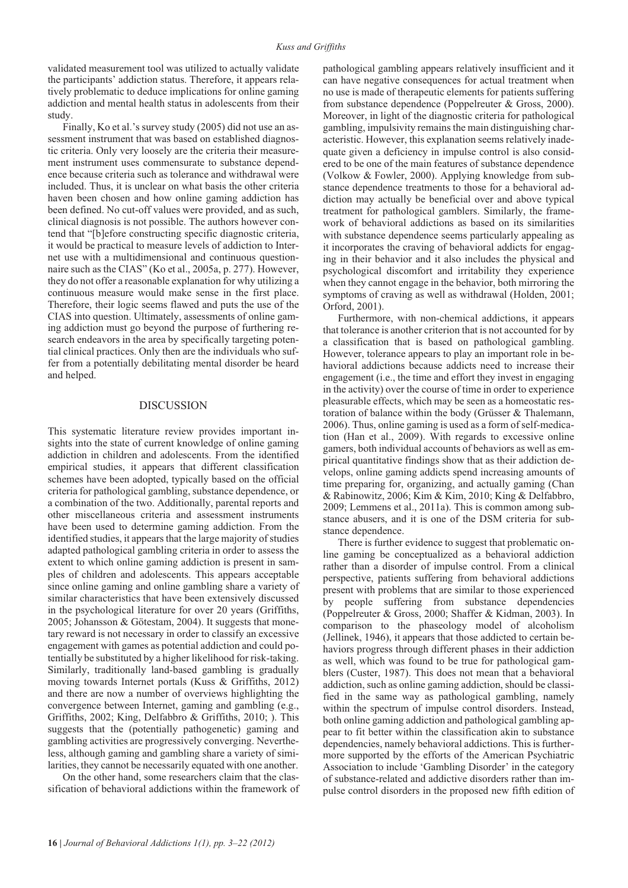validated measurement tool was utilized to actually validate the participants' addiction status. Therefore, it appears relatively problematic to deduce implications for online gaming addiction and mental health status in adolescents from their study.

Finally, Ko et al.'s survey study (2005) did not use an assessment instrument that was based on established diagnostic criteria. Only very loosely are the criteria their measurement instrument uses commensurate to substance dependence because criteria such as tolerance and withdrawal were included. Thus, it is unclear on what basis the other criteria haven been chosen and how online gaming addiction has been defined. No cut-off values were provided, and as such, clinical diagnosis is not possible. The authors however contend that "[b]efore constructing specific diagnostic criteria, it would be practical to measure levels of addiction to Internet use with a multidimensional and continuous questionnaire such as the CIAS" (Ko et al., 2005a, p. 277). However, they do not offer a reasonable explanation for why utilizing a continuous measure would make sense in the first place. Therefore, their logic seems flawed and puts the use of the CIAS into question. Ultimately, assessments of online gaming addiction must go beyond the purpose of furthering research endeavors in the area by specifically targeting potential clinical practices. Only then are the individuals who suffer from a potentially debilitating mental disorder be heard and helped.

### DISCUSSION

This systematic literature review provides important insights into the state of current knowledge of online gaming addiction in children and adolescents. From the identified empirical studies, it appears that different classification schemes have been adopted, typically based on the official criteria for pathological gambling, substance dependence, or a combination of the two. Additionally, parental reports and other miscellaneous criteria and assessment instruments have been used to determine gaming addiction. From the identified studies, it appears that the large majority of studies adapted pathological gambling criteria in order to assess the extent to which online gaming addiction is present in samples of children and adolescents. This appears acceptable since online gaming and online gambling share a variety of similar characteristics that have been extensively discussed in the psychological literature for over 20 years (Griffiths, 2005; Johansson & Götestam, 2004). It suggests that monetary reward is not necessary in order to classify an excessive engagement with games as potential addiction and could potentially be substituted by a higher likelihood for risk-taking. Similarly, traditionally land-based gambling is gradually moving towards Internet portals (Kuss & Griffiths, 2012) and there are now a number of overviews highlighting the convergence between Internet, gaming and gambling (e.g., Griffiths, 2002; King, Delfabbro & Griffiths, 2010; ). This suggests that the (potentially pathogenetic) gaming and gambling activities are progressively converging. Nevertheless, although gaming and gambling share a variety of similarities, they cannot be necessarily equated with one another.

On the other hand, some researchers claim that the classification of behavioral addictions within the framework of pathological gambling appears relatively insufficient and it can have negative consequences for actual treatment when no use is made of therapeutic elements for patients suffering from substance dependence (Poppelreuter & Gross, 2000). Moreover, in light of the diagnostic criteria for pathological gambling, impulsivity remains the main distinguishing characteristic. However, this explanation seems relatively inadequate given a deficiency in impulse control is also considered to be one of the main features of substance dependence (Volkow & Fowler, 2000). Applying knowledge from substance dependence treatments to those for a behavioral addiction may actually be beneficial over and above typical treatment for pathological gamblers. Similarly, the framework of behavioral addictions as based on its similarities with substance dependence seems particularly appealing as it incorporates the craving of behavioral addicts for engaging in their behavior and it also includes the physical and psychological discomfort and irritability they experience when they cannot engage in the behavior, both mirroring the symptoms of craving as well as withdrawal (Holden, 2001; Orford, 2001).

Furthermore, with non-chemical addictions, it appears that tolerance is another criterion that is not accounted for by a classification that is based on pathological gambling. However, tolerance appears to play an important role in behavioral addictions because addicts need to increase their engagement (i.e., the time and effort they invest in engaging in the activity) over the course of time in order to experience pleasurable effects, which may be seen as a homeostatic restoration of balance within the body (Grüsser & Thalemann, 2006). Thus, online gaming is used as a form of self-medication (Han et al., 2009). With regards to excessive online gamers, both individual accounts of behaviors as well as empirical quantitative findings show that as their addiction develops, online gaming addicts spend increasing amounts of time preparing for, organizing, and actually gaming (Chan & Rabinowitz, 2006; Kim & Kim, 2010; King & Delfabbro, 2009; Lemmens et al., 2011a). This is common among substance abusers, and it is one of the DSM criteria for substance dependence.

There is further evidence to suggest that problematic online gaming be conceptualized as a behavioral addiction rather than a disorder of impulse control. From a clinical perspective, patients suffering from behavioral addictions present with problems that are similar to those experienced by people suffering from substance dependencies (Poppelreuter & Gross, 2000; Shaffer & Kidman, 2003). In comparison to the phaseology model of alcoholism (Jellinek, 1946), it appears that those addicted to certain behaviors progress through different phases in their addiction as well, which was found to be true for pathological gamblers (Custer, 1987). This does not mean that a behavioral addiction, such as online gaming addiction, should be classified in the same way as pathological gambling, namely within the spectrum of impulse control disorders. Instead, both online gaming addiction and pathological gambling appear to fit better within the classification akin to substance dependencies, namely behavioral addictions. This is furthermore supported by the efforts of the American Psychiatric Association to include 'Gambling Disorder' in the category of substance-related and addictive disorders rather than impulse control disorders in the proposed new fifth edition of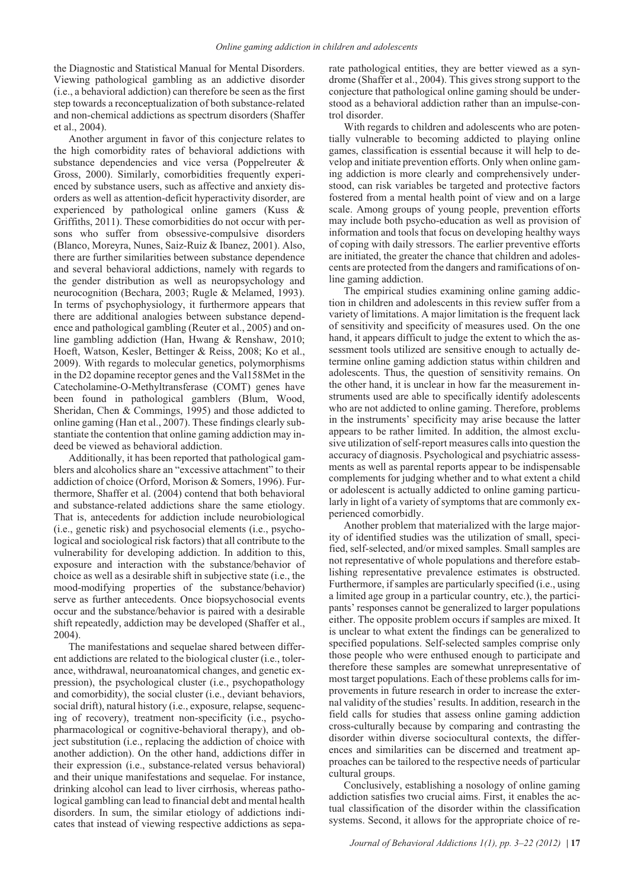the Diagnostic and Statistical Manual for Mental Disorders. Viewing pathological gambling as an addictive disorder (i.e., a behavioral addiction) can therefore be seen as the first step towards a reconceptualization of both substance-related and non-chemical addictions as spectrum disorders (Shaffer et al., 2004).

Another argument in favor of this conjecture relates to the high comorbidity rates of behavioral addictions with substance dependencies and vice versa (Poppelreuter & Gross, 2000). Similarly, comorbidities frequently experienced by substance users, such as affective and anxiety disorders as well as attention-deficit hyperactivity disorder, are experienced by pathological online gamers (Kuss & Griffiths, 2011). These comorbidities do not occur with persons who suffer from obsessive-compulsive disorders (Blanco, Moreyra, Nunes, Saiz-Ruiz & Ibanez, 2001). Also, there are further similarities between substance dependence and several behavioral addictions, namely with regards to the gender distribution as well as neuropsychology and neurocognition (Bechara, 2003; Rugle & Melamed, 1993). In terms of psychophysiology, it furthermore appears that there are additional analogies between substance dependence and pathological gambling (Reuter et al., 2005) and online gambling addiction (Han, Hwang & Renshaw, 2010; Hoeft, Watson, Kesler, Bettinger & Reiss, 2008; Ko et al., 2009). With regards to molecular genetics, polymorphisms in the D2 dopamine receptor genes and the Val158Met in the Catecholamine-O-Methyltransferase (COMT) genes have been found in pathological gamblers (Blum, Wood, Sheridan, Chen & Commings, 1995) and those addicted to online gaming (Han et al., 2007). These findings clearly substantiate the contention that online gaming addiction may indeed be viewed as behavioral addiction.

Additionally, it has been reported that pathological gamblers and alcoholics share an "excessive attachment" to their addiction of choice (Orford, Morison & Somers, 1996). Furthermore, Shaffer et al. (2004) contend that both behavioral and substance-related addictions share the same etiology. That is, antecedents for addiction include neurobiological (i.e., genetic risk) and psychosocial elements (i.e., psychological and sociological risk factors) that all contribute to the vulnerability for developing addiction. In addition to this, exposure and interaction with the substance/behavior of choice as well as a desirable shift in subjective state (i.e., the mood-modifying properties of the substance/behavior) serve as further antecedents. Once biopsychosocial events occur and the substance/behavior is paired with a desirable shift repeatedly, addiction may be developed (Shaffer et al., 2004).

The manifestations and sequelae shared between different addictions are related to the biological cluster (i.e., tolerance, withdrawal, neuroanatomical changes, and genetic expression), the psychological cluster (i.e., psychopathology and comorbidity), the social cluster (i.e., deviant behaviors, social drift), natural history (i.e., exposure, relapse, sequencing of recovery), treatment non-specificity (i.e., psychopharmacological or cognitive-behavioral therapy), and object substitution (i.e., replacing the addiction of choice with another addiction). On the other hand, addictions differ in their expression (i.e., substance-related versus behavioral) and their unique manifestations and sequelae. For instance, drinking alcohol can lead to liver cirrhosis, whereas pathological gambling can lead to financial debt and mental health disorders. In sum, the similar etiology of addictions indicates that instead of viewing respective addictions as separate pathological entities, they are better viewed as a syndrome (Shaffer et al., 2004). This gives strong support to the conjecture that pathological online gaming should be understood as a behavioral addiction rather than an impulse-control disorder.

With regards to children and adolescents who are potentially vulnerable to becoming addicted to playing online games, classification is essential because it will help to develop and initiate prevention efforts. Only when online gaming addiction is more clearly and comprehensively understood, can risk variables be targeted and protective factors fostered from a mental health point of view and on a large scale. Among groups of young people, prevention efforts may include both psycho-education as well as provision of information and tools that focus on developing healthy ways of coping with daily stressors. The earlier preventive efforts are initiated, the greater the chance that children and adolescents are protected from the dangers and ramifications of online gaming addiction.

The empirical studies examining online gaming addiction in children and adolescents in this review suffer from a variety of limitations. A major limitation is the frequent lack of sensitivity and specificity of measures used. On the one hand, it appears difficult to judge the extent to which the assessment tools utilized are sensitive enough to actually determine online gaming addiction status within children and adolescents. Thus, the question of sensitivity remains. On the other hand, it is unclear in how far the measurement instruments used are able to specifically identify adolescents who are not addicted to online gaming. Therefore, problems in the instruments' specificity may arise because the latter appears to be rather limited. In addition, the almost exclusive utilization of self-report measures calls into question the accuracy of diagnosis. Psychological and psychiatric assessments as well as parental reports appear to be indispensable complements for judging whether and to what extent a child or adolescent is actually addicted to online gaming particularly in light of a variety of symptoms that are commonly experienced comorbidly.

Another problem that materialized with the large majority of identified studies was the utilization of small, specified, self-selected, and/or mixed samples. Small samples are not representative of whole populations and therefore establishing representative prevalence estimates is obstructed. Furthermore, if samples are particularly specified (i.e., using a limited age group in a particular country, etc.), the participants' responses cannot be generalized to larger populations either. The opposite problem occurs if samples are mixed. It is unclear to what extent the findings can be generalized to specified populations. Self-selected samples comprise only those people who were enthused enough to participate and therefore these samples are somewhat unrepresentative of most target populations. Each of these problems calls for improvements in future research in order to increase the external validity of the studies' results. In addition, research in the field calls for studies that assess online gaming addiction cross-culturally because by comparing and contrasting the disorder within diverse sociocultural contexts, the differences and similarities can be discerned and treatment approaches can be tailored to the respective needs of particular cultural groups.

Conclusively, establishing a nosology of online gaming addiction satisfies two crucial aims. First, it enables the actual classification of the disorder within the classification systems. Second, it allows for the appropriate choice of re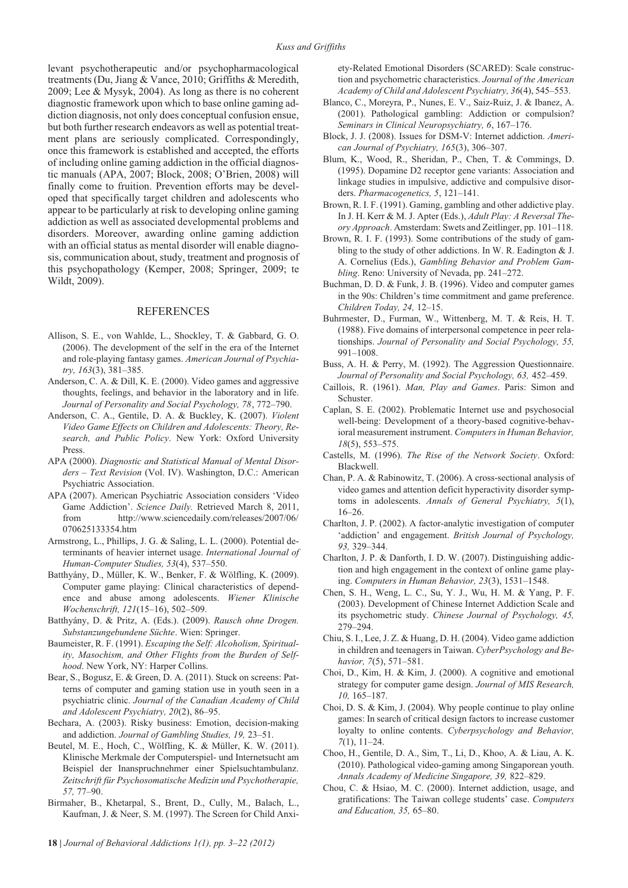levant psychotherapeutic and/or psychopharmacological treatments (Du, Jiang & Vance, 2010; Griffiths & Meredith, 2009; Lee & Mysyk, 2004). As long as there is no coherent diagnostic framework upon which to base online gaming addiction diagnosis, not only does conceptual confusion ensue, but both further research endeavors as well as potential treatment plans are seriously complicated. Correspondingly, once this framework is established and accepted, the efforts of including online gaming addiction in the official diagnostic manuals (APA, 2007; Block, 2008; O'Brien, 2008) will finally come to fruition. Prevention efforts may be developed that specifically target children and adolescents who appear to be particularly at risk to developing online gaming addiction as well as associated developmental problems and disorders. Moreover, awarding online gaming addiction with an official status as mental disorder will enable diagnosis, communication about, study, treatment and prognosis of this psychopathology (Kemper, 2008; Springer, 2009; te Wildt, 2009).

### **REFERENCES**

- Allison, S. E., von Wahlde, L., Shockley, T. & Gabbard, G. O. (2006). The development of the self in the era of the Internet and role-playing fantasy games. *American Journal of Psychiatry, 163*(3), 381–385.
- Anderson, C. A. & Dill, K. E. (2000). Video games and aggressive thoughts, feelings, and behavior in the laboratory and in life. *Journal of Personality and Social Psychology, 78*, 772–790.
- Anderson, C. A., Gentile, D. A. & Buckley, K. (2007). *Violent Video Game Effects on Children and Adolescents: Theory, Research, and Public Policy*. New York: Oxford University Press.
- APA (2000). *Diagnostic and Statistical Manual of Mental Disorders – Text Revision* (Vol. IV). Washington, D.C.: American Psychiatric Association.
- APA (2007). American Psychiatric Association considers 'Video Game Addiction'. *Science Daily.* Retrieved March 8, 2011, from http://www.sciencedaily.com/releases/2007/06/ 070625133354.htm
- Armstrong, L., Phillips, J. G. & Saling, L. L. (2000). Potential determinants of heavier internet usage. *International Journal of Human-Computer Studies, 53*(4), 537–550.
- Batthyány, D., Müller, K. W., Benker, F. & Wölfling, K. (2009). Computer game playing: Clinical characteristics of dependence and abuse among adolescents. *Wiener Klinische Wochenschrift, 121*(15–16), 502–509.
- Batthyány, D. & Pritz, A. (Eds.). (2009). *Rausch ohne Drogen. Substanzungebundene Süchte*. Wien: Springer.
- Baumeister, R. F. (1991). *Escaping the Self: Alcoholism, Spirituality, Masochism, and Other Flights from the Burden of Selfhood*. New York, NY: Harper Collins.
- Bear, S., Bogusz, E. & Green, D. A. (2011). Stuck on screens: Patterns of computer and gaming station use in youth seen in a psychiatric clinic. *Journal of the Canadian Academy of Child and Adolescent Psychiatry, 20*(2), 86–95.
- Bechara, A. (2003). Risky business: Emotion, decision-making and addiction. *Journal of Gambling Studies, 19,* 23–51.
- Beutel, M. E., Hoch, C., Wölfling, K. & Müller, K. W. (2011). Klinische Merkmale der Computerspiel- und Internetsucht am Beispiel der Inanspruchnehmer einer Spielsuchtambulanz. *Zeitschrift für Psychosomatische Medizin und Psychotherapie, 57,* 77–90.
- Birmaher, B., Khetarpal, S., Brent, D., Cully, M., Balach, L., Kaufman, J. & Neer, S. M. (1997). The Screen for Child Anxi-

ety-Related Emotional Disorders (SCARED): Scale construction and psychometric characteristics. *Journal of the American Academy of Child and Adolescent Psychiatry, 36*(4), 545–553.

- Blanco, C., Moreyra, P., Nunes, E. V., Saiz-Ruiz, J. & Ibanez, A. (2001). Pathological gambling: Addiction or compulsion? *Seminars in Clinical Neuropsychiatry, 6*, 167–176.
- Block, J. J. (2008). Issues for DSM-V: Internet addiction. *American Journal of Psychiatry, 165*(3), 306–307.
- Blum, K., Wood, R., Sheridan, P., Chen, T. & Commings, D. (1995). Dopamine D2 receptor gene variants: Association and linkage studies in impulsive, addictive and compulsive disorders. *Pharmacogenetics, 5*, 121–141.
- Brown, R. I. F. (1991). Gaming, gambling and other addictive play. In J. H. Kerr & M. J. Apter (Eds.), *Adult Play: A Reversal Theory Approach*. Amsterdam: Swets and Zeitlinger, pp. 101–118.
- Brown, R. I. F. (1993). Some contributions of the study of gambling to the study of other addictions. In W. R. Eadington & J. A. Cornelius (Eds.), *Gambling Behavior and Problem Gambling*. Reno: University of Nevada, pp. 241–272.
- Buchman, D. D. & Funk, J. B. (1996). Video and computer games in the 90s: Children's time commitment and game preference. *Children Today, 24,* 12–15.
- Buhrmester, D., Furman, W., Wittenberg, M. T. & Reis, H. T. (1988). Five domains of interpersonal competence in peer relationships. *Journal of Personality and Social Psychology, 55,* 991–1008.
- Buss, A. H. & Perry, M. (1992). The Aggression Questionnaire. *Journal of Personality and Social Psychology, 63,* 452–459.
- Caillois, R. (1961). *Man, Play and Games*. Paris: Simon and Schuster.
- Caplan, S. E. (2002). Problematic Internet use and psychosocial well-being: Development of a theory-based cognitive-behavioral measurement instrument. *Computers in Human Behavior, 18*(5), 553–575.
- Castells, M. (1996). *The Rise of the Network Society*. Oxford: Blackwell.
- Chan, P. A. & Rabinowitz, T. (2006). A cross-sectional analysis of video games and attention deficit hyperactivity disorder symptoms in adolescents. *Annals of General Psychiatry, 5*(1), 16–26.
- Charlton, J. P. (2002). A factor-analytic investigation of computer 'addiction' and engagement. *British Journal of Psychology, 93,* 329–344.
- Charlton, J. P. & Danforth, I. D. W. (2007). Distinguishing addiction and high engagement in the context of online game playing. *Computers in Human Behavior, 23*(3), 1531–1548.
- Chen, S. H., Weng, L. C., Su, Y. J., Wu, H. M. & Yang, P. F. (2003). Development of Chinese Internet Addiction Scale and its psychometric study. *Chinese Journal of Psychology, 45,* 279–294.
- Chiu, S. I., Lee, J. Z. & Huang, D. H. (2004). Video game addiction in children and teenagers in Taiwan. *CyberPsychology and Behavior, 7*(5), 571–581.
- Choi, D., Kim, H. & Kim, J. (2000). A cognitive and emotional strategy for computer game design. *Journal of MIS Research, 10,* 165–187.
- Choi, D. S. & Kim, J. (2004). Why people continue to play online games: In search of critical design factors to increase customer loyalty to online contents. *Cyberpsychology and Behavior, 7*(1), 11–24.
- Choo, H., Gentile, D. A., Sim, T., Li, D., Khoo, A. & Liau, A. K. (2010). Pathological video-gaming among Singaporean youth. *Annals Academy of Medicine Singapore, 39,* 822–829.
- Chou, C. & Hsiao, M. C. (2000). Internet addiction, usage, and gratifications: The Taiwan college students' case. *Computers and Education, 35,* 65–80.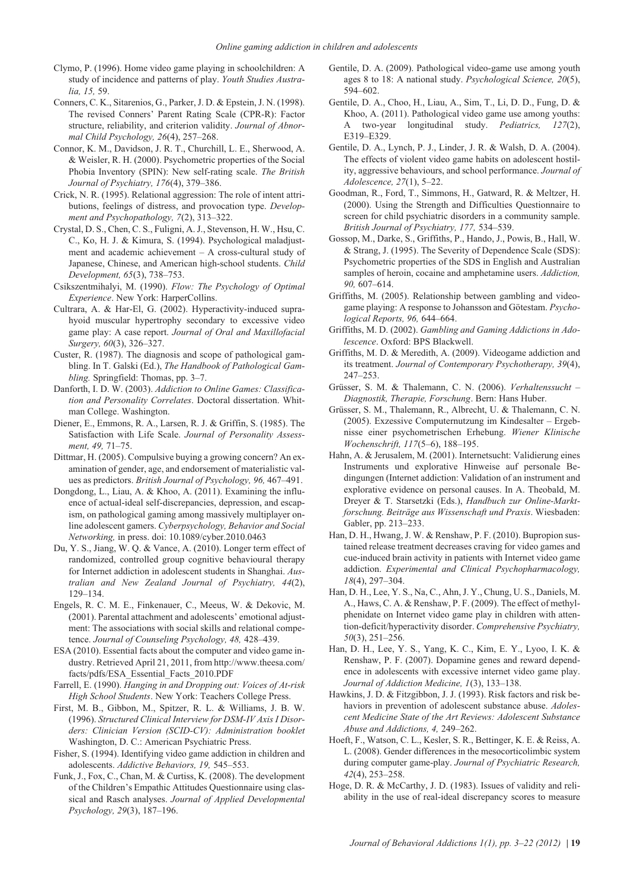- Clymo, P. (1996). Home video game playing in schoolchildren: A study of incidence and patterns of play. *Youth Studies Australia, 15,* 59.
- Conners, C. K., Sitarenios, G., Parker, J. D. & Epstein, J. N. (1998). The revised Conners' Parent Rating Scale (CPR-R): Factor structure, reliability, and criterion validity. *Journal of Abnormal Child Psychology, 26*(4), 257–268.
- Connor, K. M., Davidson, J. R. T., Churchill, L. E., Sherwood, A. & Weisler, R. H. (2000). Psychometric properties of the Social Phobia Inventory (SPIN): New self-rating scale. *The British Journal of Psychiatry, 176*(4), 379–386.
- Crick, N. R. (1995). Relational aggression: The role of intent attributions, feelings of distress, and provocation type. *Development and Psychopathology, 7*(2), 313–322.
- Crystal, D. S., Chen, C. S., Fuligni, A. J., Stevenson, H. W., Hsu, C. C., Ko, H. J. & Kimura, S. (1994). Psychological maladjustment and academic achievement – A cross-cultural study of Japanese, Chinese, and American high-school students. *Child Development, 65*(3), 738–753.
- Csikszentmihalyi, M. (1990). *Flow: The Psychology of Optimal Experience*. New York: HarperCollins.
- Cultrara, A. & Har-El, G. (2002). Hyperactivity-induced suprahyoid muscular hypertrophy secondary to excessive video game play: A case report. *Journal of Oral and Maxillofacial Surgery, 60*(3), 326–327.
- Custer, R. (1987). The diagnosis and scope of pathological gambling. In T. Galski (Ed.), *The Handbook of Pathological Gambling.* Springfield: Thomas, pp. 3–7.
- Danforth, I. D. W. (2003). *Addiction to Online Games: Classification and Personality Correlates*. Doctoral dissertation. Whitman College. Washington.
- Diener, E., Emmons, R. A., Larsen, R. J. & Griffin, S. (1985). The Satisfaction with Life Scale. *Journal of Personality Assessment, 49,* 71–75.
- Dittmar, H. (2005). Compulsive buying a growing concern? An examination of gender, age, and endorsement of materialistic values as predictors. *British Journal of Psychology, 96,* 467–491.
- Dongdong, L., Liau, A. & Khoo, A. (2011). Examining the influence of actual-ideal self-discrepancies, depression, and escapism, on pathological gaming among massively multiplayer online adolescent gamers. *Cyberpsychology, Behavior and Social Networking,* in press. doi: 10.1089/cyber.2010.0463
- Du, Y. S., Jiang, W. Q. & Vance, A. (2010). Longer term effect of randomized, controlled group cognitive behavioural therapy for Internet addiction in adolescent students in Shanghai. *Australian and New Zealand Journal of Psychiatry, 44*(2), 129–134.
- Engels, R. C. M. E., Finkenauer, C., Meeus, W. & Dekovic, M. (2001). Parental attachment and adolescents' emotional adjustment: The associations with social skills and relational competence. *Journal of Counseling Psychology, 48,* 428–439.
- ESA (2010). Essential facts about the computer and video game industry. Retrieved April 21, 2011, from http://www.theesa.com/ facts/pdfs/ESA\_Essential\_Facts\_2010.PDF
- Farrell, E. (1990). *Hanging in and Dropping out: Voices of At-risk High School Students*. New York: Teachers College Press.
- First, M. B., Gibbon, M., Spitzer, R. L. & Williams, J. B. W. (1996). *Structured Clinical Interview for DSM-IV Axis I Disorders: Clinician Version (SCID-CV): Administration booklet* Washington, D. C.: American Psychiatric Press.
- Fisher, S. (1994). Identifying video game addiction in children and adolescents. *Addictive Behaviors, 19,* 545–553.
- Funk, J., Fox, C., Chan, M. & Curtiss, K. (2008). The development of the Children's Empathic Attitudes Questionnaire using classical and Rasch analyses. *Journal of Applied Developmental Psychology, 29*(3), 187–196.
- Gentile, D. A. (2009). Pathological video-game use among youth ages 8 to 18: A national study. *Psychological Science, 20*(5), 594–602.
- Gentile, D. A., Choo, H., Liau, A., Sim, T., Li, D. D., Fung, D. & Khoo, A. (2011). Pathological video game use among youths: A two-year longitudinal study. *Pediatrics, 127*(2), E319–E329.
- Gentile, D. A., Lynch, P. J., Linder, J. R. & Walsh, D. A. (2004). The effects of violent video game habits on adolescent hostility, aggressive behaviours, and school performance. *Journal of Adolescence, 27*(1), 5–22.
- Goodman, R., Ford, T., Simmons, H., Gatward, R. & Meltzer, H. (2000). Using the Strength and Difficulties Questionnaire to screen for child psychiatric disorders in a community sample. *British Journal of Psychiatry, 177,* 534–539.
- Gossop, M., Darke, S., Griffiths, P., Hando, J., Powis, B., Hall, W. & Strang, J. (1995). The Severity of Dependence Scale (SDS): Psychometric properties of the SDS in English and Australian samples of heroin, cocaine and amphetamine users. *Addiction, 90,* 607–614.
- Griffiths, M. (2005). Relationship between gambling and videogame playing: A response to Johansson and Götestam. *Psychological Reports, 96,* 644–664.
- Griffiths, M. D. (2002). *Gambling and Gaming Addictions in Adolescence*. Oxford: BPS Blackwell.
- Griffiths, M. D. & Meredith, A. (2009). Videogame addiction and its treatment. *Journal of Contemporary Psychotherapy, 39*(4), 247–253.
- Grüsser, S. M. & Thalemann, C. N. (2006). *Verhaltenssucht – Diagnostik, Therapie, Forschung*. Bern: Hans Huber.
- Grüsser, S. M., Thalemann, R., Albrecht, U. & Thalemann, C. N. (2005). Exzessive Computernutzung im Kindesalter – Ergebnisse einer psychometrischen Erhebung. *Wiener Klinische Wochenschrift, 117*(5–6), 188–195.
- Hahn, A. & Jerusalem, M. (2001). Internetsucht: Validierung eines Instruments und explorative Hinweise auf personale Bedingungen (Internet addiction: Validation of an instrument and explorative evidence on personal causes. In A. Theobald, M. Dreyer & T. Starsetzki (Eds.), *Handbuch zur Online-Marktforschung. Beiträge aus Wissenschaft und Praxis*. Wiesbaden: Gabler, pp. 213–233.
- Han, D. H., Hwang, J. W. & Renshaw, P. F. (2010). Bupropion sustained release treatment decreases craving for video games and cue-induced brain activity in patients with Internet video game addiction. *Experimental and Clinical Psychopharmacology, 18*(4), 297–304.
- Han, D. H., Lee, Y. S., Na, C., Ahn, J. Y., Chung, U. S., Daniels, M. A., Haws, C. A. & Renshaw, P. F. (2009). The effect of methylphenidate on Internet video game play in children with attention-deficit/hyperactivity disorder. *Comprehensive Psychiatry, 50*(3), 251–256.
- Han, D. H., Lee, Y. S., Yang, K. C., Kim, E. Y., Lyoo, I. K. & Renshaw, P. F. (2007). Dopamine genes and reward dependence in adolescents with excessive internet video game play. *Journal of Addiction Medicine, 1*(3), 133–138.
- Hawkins, J. D. & Fitzgibbon, J. J. (1993). Risk factors and risk behaviors in prevention of adolescent substance abuse. *Adolescent Medicine State of the Art Reviews: Adolescent Substance Abuse and Addictions, 4,* 249–262.
- Hoeft, F., Watson, C. L., Kesler, S. R., Bettinger, K. E. & Reiss, A. L. (2008). Gender differences in the mesocorticolimbic system during computer game-play. *Journal of Psychiatric Research, 42*(4), 253–258.
- Hoge, D. R. & McCarthy, J. D. (1983). Issues of validity and reliability in the use of real-ideal discrepancy scores to measure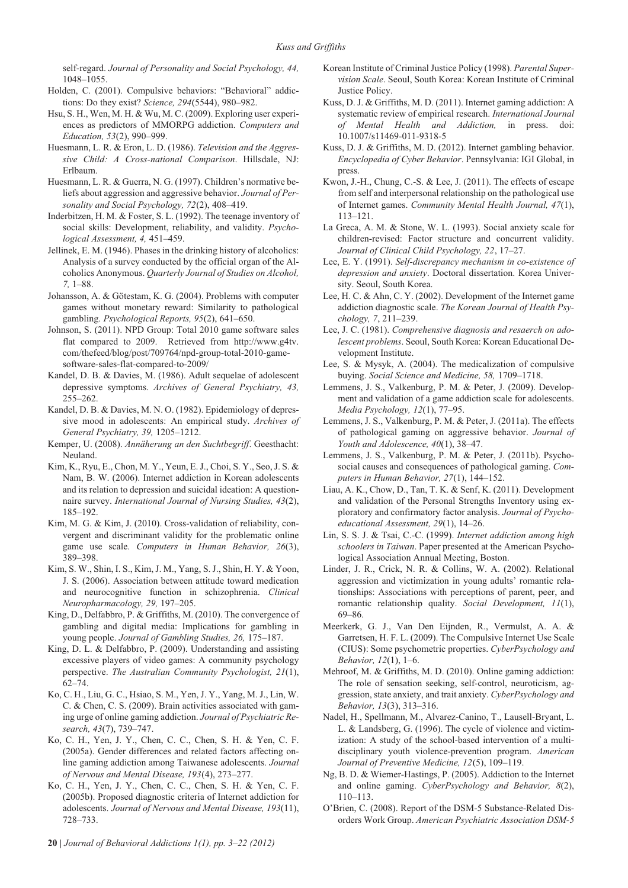self-regard. *Journal of Personality and Social Psychology, 44,* 1048–1055.

- Holden, C. (2001). Compulsive behaviors: "Behavioral" addictions: Do they exist? *Science, 294*(5544), 980–982.
- Hsu, S. H., Wen, M. H. & Wu, M. C. (2009). Exploring user experiences as predictors of MMORPG addiction. *Computers and Education, 53*(2), 990–999.
- Huesmann, L. R. & Eron, L. D. (1986). *Television and the Aggressive Child: A Cross-national Comparison*. Hillsdale, NJ: Erlbaum.
- Huesmann, L. R. & Guerra, N. G. (1997). Children's normative beliefs about aggression and aggressive behavior. *Journal of Personality and Social Psychology, 72*(2), 408–419.
- Inderbitzen, H. M. & Foster, S. L. (1992). The teenage inventory of social skills: Development, reliability, and validity. *Psychological Assessment, 4,* 451–459.
- Jellinek, E. M. (1946). Phases in the drinking history of alcoholics: Analysis of a survey conducted by the official organ of the Alcoholics Anonymous. *Quarterly Journal of Studies on Alcohol, 7,* 1–88.
- Johansson, A. & Götestam, K. G. (2004). Problems with computer games without monetary reward: Similarity to pathological gambling. *Psychological Reports, 95*(2), 641–650.
- Johnson, S. (2011). NPD Group: Total 2010 game software sales flat compared to 2009. Retrieved from http://www.g4tv. com/thefeed/blog/post/709764/npd-group-total-2010-gamesoftware-sales-flat-compared-to-2009/
- Kandel, D. B. & Davies, M. (1986). Adult sequelae of adolescent depressive symptoms. *Archives of General Psychiatry, 43,* 255–262.
- Kandel, D. B. & Davies, M. N. O. (1982). Epidemiology of depressive mood in adolescents: An empirical study. *Archives of General Psychiatry, 39,* 1205–1212.
- Kemper, U. (2008). *Annäherung an den Suchtbegriff*. Geesthacht: Neuland.
- Kim, K., Ryu, E., Chon, M. Y., Yeun, E. J., Choi, S. Y., Seo, J. S. & Nam, B. W. (2006). Internet addiction in Korean adolescents and its relation to depression and suicidal ideation: A questionnaire survey. *International Journal of Nursing Studies, 43*(2), 185–192.
- Kim, M. G. & Kim, J. (2010). Cross-validation of reliability, convergent and discriminant validity for the problematic online game use scale. *Computers in Human Behavior, 26*(3), 389–398.
- Kim, S. W., Shin, I. S., Kim, J. M., Yang, S. J., Shin, H. Y. & Yoon, J. S. (2006). Association between attitude toward medication and neurocognitive function in schizophrenia. *Clinical Neuropharmacology, 29,* 197–205.
- King, D., Delfabbro, P. & Griffiths, M. (2010). The convergence of gambling and digital media: Implications for gambling in young people. *Journal of Gambling Studies, 26,* 175–187.
- King, D. L. & Delfabbro, P. (2009). Understanding and assisting excessive players of video games: A community psychology perspective. *The Australian Community Psychologist, 21*(1), 62–74.
- Ko, C. H., Liu, G. C., Hsiao, S. M., Yen, J. Y., Yang, M. J., Lin, W. C. & Chen, C. S. (2009). Brain activities associated with gaming urge of online gaming addiction. *Journal of Psychiatric Research, 43*(7), 739–747.
- Ko, C. H., Yen, J. Y., Chen, C. C., Chen, S. H. & Yen, C. F. (2005a). Gender differences and related factors affecting online gaming addiction among Taiwanese adolescents. *Journal of Nervous and Mental Disease, 193*(4), 273–277.
- Ko, C. H., Yen, J. Y., Chen, C. C., Chen, S. H. & Yen, C. F. (2005b). Proposed diagnostic criteria of Internet addiction for adolescents. *Journal of Nervous and Mental Disease, 193*(11), 728–733.
- Korean Institute of Criminal Justice Policy (1998). *Parental Supervision Scale*. Seoul, South Korea: Korean Institute of Criminal Justice Policy.
- Kuss, D. J. & Griffiths, M. D. (2011). Internet gaming addiction: A systematic review of empirical research. *International Journal of Mental Health and Addiction,* in press. doi: 10.1007/s11469-011-9318-5
- Kuss, D. J. & Griffiths, M. D. (2012). Internet gambling behavior. *Encyclopedia of Cyber Behavior*. Pennsylvania: IGI Global, in press.
- Kwon, J.-H., Chung, C.-S. & Lee, J. (2011). The effects of escape from self and interpersonal relationship on the pathological use of Internet games. *Community Mental Health Journal, 47*(1), 113–121.
- La Greca, A. M. & Stone, W. L. (1993). Social anxiety scale for children-revised: Factor structure and concurrent validity. *Journal of Clinical Child Psychology, 22*, 17–27.
- Lee, E. Y. (1991). *Self-discrepancy mechanism in co-existence of depression and anxiety*. Doctoral dissertation. Korea University. Seoul, South Korea.
- Lee, H. C. & Ahn, C. Y. (2002). Development of the Internet game addiction diagnostic scale. *The Korean Journal of Health Psychology, 7*, 211–239.
- Lee, J. C. (1981). *Comprehensive diagnosis and resaerch on adolescent problems*. Seoul, South Korea: Korean Educational Development Institute.
- Lee, S. & Mysyk, A. (2004). The medicalization of compulsive buying. *Social Science and Medicine, 58,* 1709–1718.
- Lemmens, J. S., Valkenburg, P. M. & Peter, J. (2009). Development and validation of a game addiction scale for adolescents. *Media Psychology, 12*(1), 77–95.
- Lemmens, J. S., Valkenburg, P. M. & Peter, J. (2011a). The effects of pathological gaming on aggressive behavior. *Journal of Youth and Adolescence, 40*(1), 38–47.
- Lemmens, J. S., Valkenburg, P. M. & Peter, J. (2011b). Psychosocial causes and consequences of pathological gaming. *Computers in Human Behavior, 27*(1), 144–152.
- Liau, A. K., Chow, D., Tan, T. K. & Senf, K. (2011). Development and validation of the Personal Strengths Inventory using exploratory and confirmatory factor analysis. *Journal of Psychoeducational Assessment, 29*(1), 14–26.
- Lin, S. S. J. & Tsai, C.-C. (1999). *Internet addiction among high schoolers in Taiwan*. Paper presented at the American Psychological Association Annual Meeting, Boston.
- Linder, J. R., Crick, N. R. & Collins, W. A. (2002). Relational aggression and victimization in young adults' romantic relationships: Associations with perceptions of parent, peer, and romantic relationship quality. *Social Development, 11*(1), 69–86.
- Meerkerk, G. J., Van Den Eijnden, R., Vermulst, A. A. & Garretsen, H. F. L. (2009). The Compulsive Internet Use Scale (CIUS): Some psychometric properties. *CyberPsychology and Behavior, 12*(1), 1–6.
- Mehroof, M. & Griffiths, M. D. (2010). Online gaming addiction: The role of sensation seeking, self-control, neuroticism, aggression, state anxiety, and trait anxiety. *CyberPsychology and Behavior, 13*(3), 313–316.
- Nadel, H., Spellmann, M., Alvarez-Canino, T., Lausell-Bryant, L. L. & Landsberg, G. (1996). The cycle of violence and victimization: A study of the school-based intervention of a multidisciplinary youth violence-prevention program. *American Journal of Preventive Medicine, 12*(5), 109–119.
- Ng, B. D. & Wiemer-Hastings, P. (2005). Addiction to the Internet and online gaming. *CyberPsychology and Behavior, 8*(2), 110–113.
- O'Brien, C. (2008). Report of the DSM-5 Substance-Related Disorders Work Group. *American Psychiatric Association DSM-5*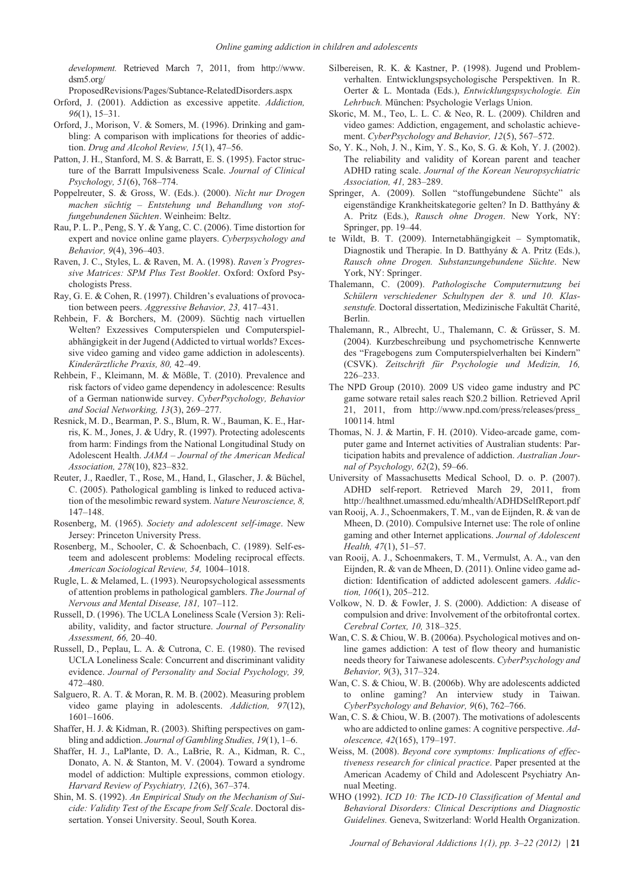*development.* Retrieved March 7, 2011, from http://www. dsm5.org/

ProposedRevisions/Pages/Subtance-RelatedDisorders.aspx

- Orford, J. (2001). Addiction as excessive appetite. *Addiction, 96*(1), 15–31.
- Orford, J., Morison, V. & Somers, M. (1996). Drinking and gambling: A comparison with implications for theories of addiction. *Drug and Alcohol Review, 15*(1), 47–56.
- Patton, J. H., Stanford, M. S. & Barratt, E. S. (1995). Factor structure of the Barratt Impulsiveness Scale. *Journal of Clinical Psychology, 51*(6), 768–774.
- Poppelreuter, S. & Gross, W. (Eds.). (2000). *Nicht nur Drogen machen süchtig – Entstehung und Behandlung von stoffungebundenen Süchten*. Weinheim: Beltz.
- Rau, P. L. P., Peng, S. Y. & Yang, C. C. (2006). Time distortion for expert and novice online game players. *Cyberpsychology and Behavior, 9*(4), 396–403.
- Raven, J. C., Styles, L. & Raven, M. A. (1998). *Raven's Progressive Matrices: SPM Plus Test Booklet*. Oxford: Oxford Psychologists Press.
- Ray, G. E. & Cohen, R. (1997). Children's evaluations of provocation between peers. *Aggressive Behavior, 23,* 417–431.
- Rehbein, F. & Borchers, M. (2009). Süchtig nach virtuellen Welten? Exzessives Computerspielen und Computerspielabhängigkeit in der Jugend (Addicted to virtual worlds? Excessive video gaming and video game addiction in adolescents). *Kinderärztliche Praxis, 80,* 42–49.
- Rehbein, F., Kleimann, M. & Mößle, T. (2010). Prevalence and risk factors of video game dependency in adolescence: Results of a German nationwide survey. *CyberPsychology, Behavior and Social Networking, 13*(3), 269–277.
- Resnick, M. D., Bearman, P. S., Blum, R. W., Bauman, K. E., Harris, K. M., Jones, J. & Udry, R. (1997). Protecting adolescents from harm: Findings from the National Longitudinal Study on Adolescent Health. *JAMA – Journal of the American Medical Association, 278*(10), 823–832.
- Reuter, J., Raedler, T., Rose, M., Hand, I., Glascher, J. & Büchel, C. (2005). Pathological gambling is linked to reduced activation of the mesolimbic reward system. *Nature Neuroscience, 8,* 147–148.
- Rosenberg, M. (1965). *Society and adolescent self-image*. New Jersey: Princeton University Press.
- Rosenberg, M., Schooler, C. & Schoenbach, C. (1989). Self-esteem and adolescent problems: Modeling reciprocal effects. *American Sociological Review, 54,* 1004–1018.
- Rugle, L. & Melamed, L. (1993). Neuropsychological assessments of attention problems in pathological gamblers. *The Journal of Nervous and Mental Disease, 181,* 107–112.
- Russell, D. (1996). The UCLA Loneliness Scale (Version 3): Reliability, validity, and factor structure. *Journal of Personality Assessment, 66,* 20–40.
- Russell, D., Peplau, L. A. & Cutrona, C. E. (1980). The revised UCLA Loneliness Scale: Concurrent and discriminant validity evidence. *Journal of Personality and Social Psychology, 39,* 472–480.
- Salguero, R. A. T. & Moran, R. M. B. (2002). Measuring problem video game playing in adolescents. *Addiction, 97*(12), 1601–1606.
- Shaffer, H. J. & Kidman, R. (2003). Shifting perspectives on gambling and addiction. *Journal of Gambling Studies, 19*(1), 1–6.
- Shaffer, H. J., LaPlante, D. A., LaBrie, R. A., Kidman, R. C., Donato, A. N. & Stanton, M. V. (2004). Toward a syndrome model of addiction: Multiple expressions, common etiology. *Harvard Review of Psychiatry, 12*(6), 367–374.
- Shin, M. S. (1992). *An Empirical Study on the Mechanism of Suicide: Validity Test of the Escape from Self Scale*. Doctoral dissertation. Yonsei University. Seoul, South Korea.
- Silbereisen, R. K. & Kastner, P. (1998). Jugend und Problemverhalten. Entwicklungspsychologische Perspektiven. In R. Oerter & L. Montada (Eds.), *Entwicklungspsychologie. Ein Lehrbuch.* München: Psychologie Verlags Union.
- Skoric, M. M., Teo, L. L. C. & Neo, R. L. (2009). Children and video games: Addiction, engagement, and scholastic achievement. *CyberPsychology and Behavior, 12*(5), 567–572.
- So, Y. K., Noh, J. N., Kim, Y. S., Ko, S. G. & Koh, Y. J. (2002). The reliability and validity of Korean parent and teacher ADHD rating scale. *Journal of the Korean Neuropsychiatric Association, 41,* 283–289.
- Springer, A. (2009). Sollen "stoffungebundene Süchte" als eigenständige Krankheitskategorie gelten? In D. Batthyány & A. Pritz (Eds.), *Rausch ohne Drogen*. New York, NY: Springer, pp. 19–44.
- te Wildt, B. T. (2009). Internetabhängigkeit Symptomatik, Diagnostik und Therapie. In D. Batthyány & A. Pritz (Eds.), *Rausch ohne Drogen. Substanzungebundene Süchte*. New York, NY: Springer.
- Thalemann, C. (2009). *Pathologische Computernutzung bei Schülern verschiedener Schultypen der 8. und 10. Klassenstufe.* Doctoral dissertation, Medizinische Fakultät Charité, Berlin.
- Thalemann, R., Albrecht, U., Thalemann, C. & Grüsser, S. M. (2004). Kurzbeschreibung und psychometrische Kennwerte des "Fragebogens zum Computerspielverhalten bei Kindern" (CSVK). *Zeitschrift für Psychologie und Medizin, 16,* 226–233.
- The NPD Group (2010). 2009 US video game industry and PC game sotware retail sales reach \$20.2 billion. Retrieved April 21, 2011, from http://www.npd.com/press/releases/press\_ 100114. html
- Thomas, N. J. & Martin, F. H. (2010). Video-arcade game, computer game and Internet activities of Australian students: Participation habits and prevalence of addiction. *Australian Journal of Psychology, 62*(2), 59–66.
- University of Massachusetts Medical School, D. o. P. (2007). ADHD self-report. Retrieved March 29, 2011, from http://healthnet.umassmed.edu/mhealth/ADHDSelfReport.pdf
- van Rooij, A. J., Schoenmakers, T. M., van de Eijnden, R. & van de Mheen, D. (2010). Compulsive Internet use: The role of online gaming and other Internet applications. *Journal of Adolescent Health, 47*(1), 51–57.
- van Rooij, A. J., Schoenmakers, T. M., Vermulst, A. A., van den Eijnden, R. & van de Mheen, D. (2011). Online video game addiction: Identification of addicted adolescent gamers. *Addiction, 106*(1), 205–212.
- Volkow, N. D. & Fowler, J. S. (2000). Addiction: A disease of compulsion and drive: Involvement of the orbitofrontal cortex. *Cerebral Cortex, 10,* 318–325.
- Wan, C. S. & Chiou, W. B. (2006a). Psychological motives and online games addiction: A test of flow theory and humanistic needs theory for Taiwanese adolescents. *CyberPsychology and Behavior, 9*(3), 317–324.
- Wan, C. S. & Chiou, W. B. (2006b). Why are adolescents addicted to online gaming? An interview study in Taiwan. *CyberPsychology and Behavior, 9*(6), 762–766.
- Wan, C. S. & Chiou, W. B. (2007). The motivations of adolescents who are addicted to online games: A cognitive perspective. *Adolescence, 42*(165), 179–197.
- Weiss, M. (2008). *Beyond core symptoms: Implications of effectiveness research for clinical practice*. Paper presented at the American Academy of Child and Adolescent Psychiatry Annual Meeting.
- WHO (1992). *ICD 10: The ICD-10 Classification of Mental and Behavioral Disorders: Clinical Descriptions and Diagnostic Guidelines.* Geneva, Switzerland: World Health Organization.